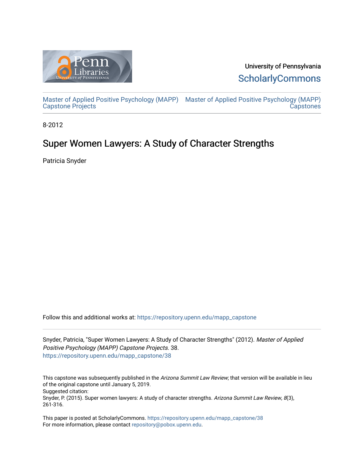

University of Pennsylvania **ScholarlyCommons** 

[Master of Applied Positive Psychology \(MAPP\)](https://repository.upenn.edu/mapp_capstone) [Master of Applied Positive Psychology \(MAPP\)](https://repository.upenn.edu/mapp_capstones)  [Capstone Projects](https://repository.upenn.edu/mapp_capstone)  **Capstones** 

8-2012

# Super Women Lawyers: A Study of Character Strengths

Patricia Snyder

Follow this and additional works at: [https://repository.upenn.edu/mapp\\_capstone](https://repository.upenn.edu/mapp_capstone?utm_source=repository.upenn.edu%2Fmapp_capstone%2F38&utm_medium=PDF&utm_campaign=PDFCoverPages) 

Snyder, Patricia, "Super Women Lawyers: A Study of Character Strengths" (2012). Master of Applied Positive Psychology (MAPP) Capstone Projects. 38. [https://repository.upenn.edu/mapp\\_capstone/38](https://repository.upenn.edu/mapp_capstone/38?utm_source=repository.upenn.edu%2Fmapp_capstone%2F38&utm_medium=PDF&utm_campaign=PDFCoverPages)

This capstone was subsequently published in the Arizona Summit Law Review; that version will be available in lieu of the original capstone until January 5, 2019. Suggested citation: Snyder, P. (2015). Super women lawyers: A study of character strengths. Arizona Summit Law Review, 8(3), 261-316.

This paper is posted at ScholarlyCommons. [https://repository.upenn.edu/mapp\\_capstone/38](https://repository.upenn.edu/mapp_capstone/38)  For more information, please contact [repository@pobox.upenn.edu.](mailto:repository@pobox.upenn.edu)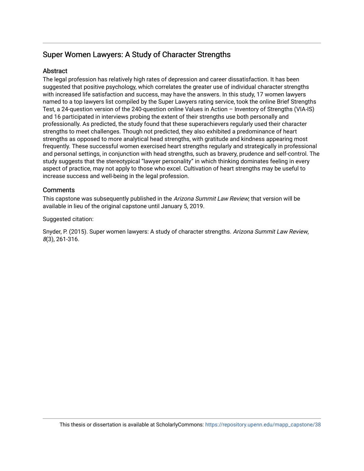# Super Women Lawyers: A Study of Character Strengths

# Abstract

The legal profession has relatively high rates of depression and career dissatisfaction. It has been suggested that positive psychology, which correlates the greater use of individual character strengths with increased life satisfaction and success, may have the answers. In this study, 17 women lawyers named to a top lawyers list compiled by the Super Lawyers rating service, took the online Brief Strengths Test, a 24-question version of the 240-question online Values in Action – Inventory of Strengths (VIA-IS) and 16 participated in interviews probing the extent of their strengths use both personally and professionally. As predicted, the study found that these superachievers regularly used their character strengths to meet challenges. Though not predicted, they also exhibited a predominance of heart strengths as opposed to more analytical head strengths, with gratitude and kindness appearing most frequently. These successful women exercised heart strengths regularly and strategically in professional and personal settings, in conjunction with head strengths, such as bravery, prudence and self-control. The study suggests that the stereotypical "lawyer personality" in which thinking dominates feeling in every aspect of practice, may not apply to those who excel. Cultivation of heart strengths may be useful to increase success and well-being in the legal profession.

# **Comments**

This capstone was subsequently published in the Arizona Summit Law Review; that version will be available in lieu of the original capstone until January 5, 2019.

# Suggested citation:

Snyder, P. (2015). Super women lawyers: A study of character strengths. Arizona Summit Law Review, 8(3), 261-316.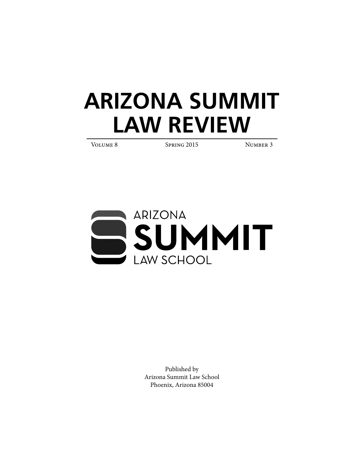# **ARIZONA SUMMIT LAW REVIEW**

VOLUME 8 SPRING 2015 NUMBER 3



Published by Arizona Summit Law School Phoenix, Arizona 85004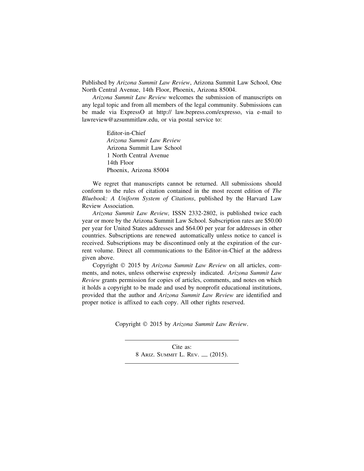Published by *Arizona Summit Law Review*, Arizona Summit Law School, One North Central Avenue, 14th Floor, Phoenix, Arizona 85004.

*Arizona Summit Law Review* welcomes the submission of manuscripts on any legal topic and from all members of the legal community. Submissions can be made via ExpressO at http:// law.bepress.com/expresso, via e-mail to lawreview@azsummitlaw.edu, or via postal service to:

> Editor-in-Chief *Arizona Summit Law Review* Arizona Summit Law School 1 North Central Avenue 14th Floor Phoenix, Arizona 85004

We regret that manuscripts cannot be returned. All submissions should conform to the rules of citation contained in the most recent edition of *The Bluebook: A Uniform System of Citations*, published by the Harvard Law Review Association.

*Arizona Summit Law Review,* ISSN 2332-2802, is published twice each year or more by the Arizona Summit Law School. Subscription rates are \$50.00 per year for United States addresses and \$64.00 per year for addresses in other countries. Subscriptions are renewed automatically unless notice to cancel is received. Subscriptions may be discontinued only at the expiration of the current volume. Direct all communications to the Editor-in-Chief at the address given above.

Copyright © 2015 by *Arizona Summit Law Review* on all articles, comments, and notes, unless otherwise expressly indicated. *Arizona Summit Law Review* grants permission for copies of articles, comments, and notes on which it holds a copyright to be made and used by nonprofit educational institutions, provided that the author and *Arizona Summit Law Review* are identified and proper notice is affixed to each copy. All other rights reserved.

Copyright © 2015 by *Arizona Summit Law Review*.

Cite as: 8 ARIZ. SUMMIT L. REV. — (2015).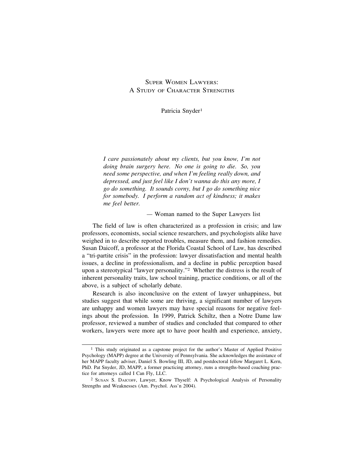# SUPER WOMEN LAWYERS: A STUDY OF CHARACTER STRENGTHS

Patricia Snyder<sup>1</sup>

*I care passionately about my clients, but you know, I'm not doing brain surgery here. No one is going to die. So, you need some perspective, and when I'm feeling really down, and depressed, and just feel like I don't wanna do this any more, I go do something. It sounds corny, but I go do something nice for somebody. I perform a random act of kindness; it makes me feel better.*

*—* Woman named to the Super Lawyers list

The field of law is often characterized as a profession in crisis; and law professors, economists, social science researchers, and psychologists alike have weighed in to describe reported troubles, measure them, and fashion remedies. Susan Daicoff, a professor at the Florida Coastal School of Law, has described a "tri-partite crisis" in the profession: lawyer dissatisfaction and mental health issues, a decline in professionalism, and a decline in public perception based upon a stereotypical "lawyer personality."2 Whether the distress is the result of inherent personality traits, law school training, practice conditions, or all of the above, is a subject of scholarly debate.

Research is also inconclusive on the extent of lawyer unhappiness, but studies suggest that while some are thriving, a significant number of lawyers are unhappy and women lawyers may have special reasons for negative feelings about the profession. In 1999, Patrick Schiltz, then a Notre Dame law professor, reviewed a number of studies and concluded that compared to other workers, lawyers were more apt to have poor health and experience, anxiety,

<sup>&</sup>lt;sup>1</sup> This study originated as a capstone project for the author's Master of Applied Positive Psychology (MAPP) degree at the University of Pennsylvania. She acknowledges the assistance of her MAPP faculty adviser, Daniel S. Bowling III, JD, and postdoctoral fellow Margaret L. Kern, PhD. Pat Snyder, JD, MAPP, a former practicing attorney, runs a strengths-based coaching practice for attorneys called I Can Fly, LLC.

<sup>2</sup> SUSAN S. DAICOFF, Lawyer, Know Thyself: A Psychological Analysis of Personality Strengths and Weaknesses (Am. Psychol. Ass'n 2004).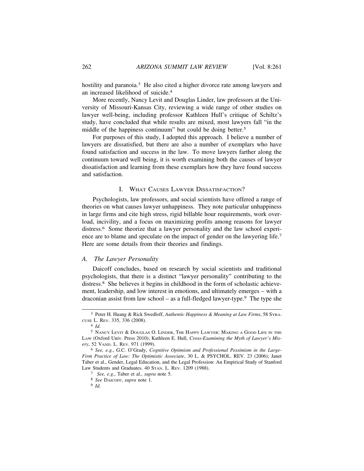hostility and paranoia.<sup>3</sup> He also cited a higher divorce rate among lawyers and an increased likelihood of suicide.4

More recently, Nancy Levit and Douglas Linder, law professors at the University of Missouri-Kansas City, reviewing a wide range of other studies on lawyer well-being, including professor Kathleen Hull's critique of Schiltz's study, have concluded that while results are mixed, most lawyers fall "in the middle of the happiness continuum" but could be doing better.<sup>5</sup>

For purposes of this study, I adopted this approach. I believe a number of lawyers are dissatisfied, but there are also a number of exemplars who have found satisfaction and success in the law. To move lawyers farther along the continuum toward well being, it is worth examining both the causes of lawyer dissatisfaction and learning from these exemplars how they have found success and satisfaction.

# I. WHAT CAUSES LAWYER DISSATISFACTION?

Psychologists, law professors, and social scientists have offered a range of theories on what causes lawyer unhappiness. They note particular unhappiness in large firms and cite high stress, rigid billable hour requirements, work overload, incivility, and a focus on maximizing profits among reasons for lawyer distress.6 Some theorize that a lawyer personality and the law school experience are to blame and speculate on the impact of gender on the lawyering life.7 Here are some details from their theories and findings.

# *A. The Lawyer Personality*

Daicoff concludes, based on research by social scientists and traditional psychologists, that there is a distinct "lawyer personality" contributing to the distress.8 She believes it begins in childhood in the form of scholastic achievement, leadership, and low interest in emotions, and ultimately emerges – with a draconian assist from law school – as a full-fledged lawyer-type.<sup>9</sup> The type she

8 *See* DAICOFF, *supra* note 1.

<sup>3</sup> Peter H. Huang & Rick Swedloff, *Authentic Happiness & Meaning at Law Firms*, 58 SYRA-CUSE L. REV. 335, 336 (2008).

<sup>4</sup> *Id*.

<sup>5</sup> NANCY LEVIT & DOUGLAS O. LINDER, THE HAPPY LAWYER: MAKING A GOOD LIFE IN THE LAW (Oxford Univ. Press 2010); Kathleen E. Hull, *Cross-Examining the Myth of Lawyer's Misery*, 52 VAND. L. REV. 971 (1999).

<sup>6</sup> *See, e.g.*, G.C. O'Grady, *Cognitive Optimism and Professional Pessimism in the Large-Firm Practice of Law: The Optimistic Associate*, 30 L. & PSYCHOL. REV. 23 (2006); Janet Taber et al., Gender, Legal Education, and the Legal Profession: An Empirical Study of Stanford Law Students and Graduates. 40 STAN. L. REV. 1209 (1988).

<sup>7</sup> *See, e.g.*, Taber et al., *supra* note 5.

<sup>9</sup> *Id.*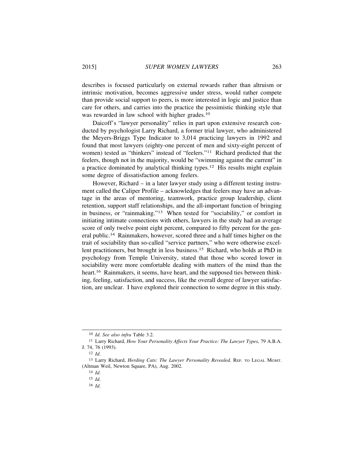describes is focused particularly on external rewards rather than altruism or intrinsic motivation, becomes aggressive under stress, would rather compete than provide social support to peers, is more interested in logic and justice than care for others, and carries into the practice the pessimistic thinking style that was rewarded in law school with higher grades.10

Daicoff's "lawyer personality" relies in part upon extensive research conducted by psychologist Larry Richard, a former trial lawyer, who administered the Meyers-Briggs Type Indicator to 3,014 practicing lawyers in 1992 and found that most lawyers (eighty-one percent of men and sixty-eight percent of women) tested as "thinkers" instead of "feelers."11 Richard predicted that the feelers, though not in the majority, would be "swimming against the current" in a practice dominated by analytical thinking types.12 His results might explain some degree of dissatisfaction among feelers.

However, Richard – in a later lawyer study using a different testing instrument called the Caliper Profile – acknowledges that feelers may have an advantage in the areas of mentoring, teamwork, practice group leadership, client retention, support staff relationships, and the all-important function of bringing in business, or "rainmaking."13 When tested for "sociability," or comfort in initiating intimate connections with others, lawyers in the study had an average score of only twelve point eight percent, compared to fifty percent for the general public.14 Rainmakers, however, scored three and a half times higher on the trait of sociability than so-called "service partners," who were otherwise excellent practitioners, but brought in less business.15 Richard, who holds at PhD in psychology from Temple University, stated that those who scored lower in sociability were more comfortable dealing with matters of the mind than the heart.<sup>16</sup> Rainmakers, it seems, have heart, and the supposed ties between thinking, feeling, satisfaction, and success, like the overall degree of lawyer satisfaction, are unclear. I have explored their connection to some degree in this study.

<sup>10</sup> *Id*. *See also infra* Table 3.2.

<sup>11</sup> Larry Richard, *How Your Personality Affects Your Practice: The Lawyer Types*, 79 A.B.A. J. 74, 76 (1993).

<sup>12</sup> *Id*.

<sup>13</sup> Larry Richard, *Herding Cats: The Lawyer Personality Revealed,* REP. TO LEGAL MGMT. (Altman Weil, Newton Square, PA), Aug. 2002.

<sup>14</sup> *Id*.

<sup>15</sup> *Id*.

<sup>16</sup> *Id*.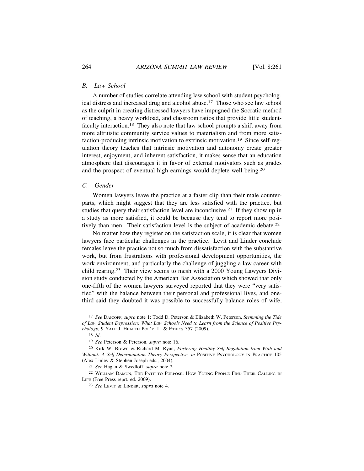# *B. Law School*

A number of studies correlate attending law school with student psychological distress and increased drug and alcohol abuse.17 Those who see law school as the culprit in creating distressed lawyers have impugned the Socratic method of teaching, a heavy workload, and classroom ratios that provide little studentfaculty interaction.18 They also note that law school prompts a shift away from more altruistic community service values to materialism and from more satisfaction-producing intrinsic motivation to extrinsic motivation.19 Since self-regulation theory teaches that intrinsic motivation and autonomy create greater interest, enjoyment, and inherent satisfaction, it makes sense that an education atmosphere that discourages it in favor of external motivators such as grades and the prospect of eventual high earnings would deplete well-being.20

# *C. Gender*

Women lawyers leave the practice at a faster clip than their male counterparts, which might suggest that they are less satisfied with the practice, but studies that query their satisfaction level are inconclusive.<sup>21</sup> If they show up in a study as more satisfied, it could be because they tend to report more positively than men. Their satisfaction level is the subject of academic debate.<sup>22</sup>

No matter how they register on the satisfaction scale, it is clear that women lawyers face particular challenges in the practice. Levit and Linder conclude females leave the practice not so much from dissatisfaction with the substantive work, but from frustrations with professional development opportunities, the work environment, and particularly the challenge of juggling a law career with child rearing.23 Their view seems to mesh with a 2000 Young Lawyers Division study conducted by the American Bar Association which showed that only one-fifth of the women lawyers surveyed reported that they were "very satisfied" with the balance between their personal and professional lives, and onethird said they doubted it was possible to successfully balance roles of wife,

<sup>17</sup> *See* DAICOFF, *supra* note 1; Todd D. Peterson & Elizabeth W. Peterson, *Stemming the Tide of Law Student Depression: What Law Schools Need to Learn from the Science of Positive Psychology*, 9 YALE J. HEALTH POL'Y, L. & ETHICS 357 (2009).

<sup>18</sup> *Id*.

<sup>19</sup> *See* Peterson & Peterson, *supra* note 16.

<sup>20</sup> Kirk W. Brown & Richard M. Ryan, *Fostering Healthy Self-Regulation from With and* Without: A Self-Determination Theory Perspective, in POSITIVE PSYCHOLOGY IN PRACTICE 105 (Alex Linley & Stephen Joseph eds., 2004).

<sup>21</sup> *See* Hagan & Swedloff, *supra* note 2.

<sup>22</sup> WILLIAM DAMON, THE PATH TO PURPOSE: HOW YOUNG PEOPLE FIND THEIR CALLING IN LIFE (Free Press reprt. ed. 2009).

<sup>23</sup> *See* LEVIT & LINDER, *supra* note 4*.*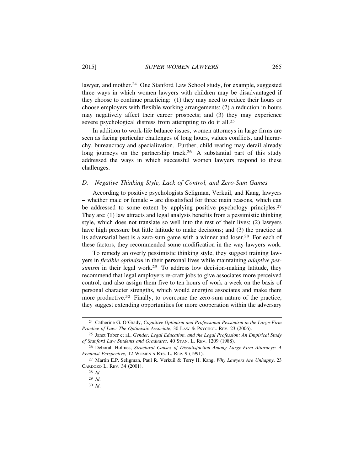lawyer, and mother.<sup>24</sup> One Stanford Law School study, for example, suggested three ways in which women lawyers with children may be disadvantaged if they choose to continue practicing: (1) they may need to reduce their hours or choose employers with flexible working arrangements; (2) a reduction in hours may negatively affect their career prospects; and (3) they may experience severe psychological distress from attempting to do it all.<sup>25</sup>

In addition to work-life balance issues, women attorneys in large firms are seen as facing particular challenges of long hours, values conflicts, and hierarchy, bureaucracy and specialization. Further, child rearing may derail already long journeys on the partnership track.<sup>26</sup> A substantial part of this study addressed the ways in which successful women lawyers respond to these challenges.

# *D. Negative Thinking Style, Lack of Control, and Zero-Sum Games*

According to positive psychologists Seligman, Verkuil, and Kang, lawyers – whether male or female – are dissatisfied for three main reasons, which can be addressed to some extent by applying positive psychology principles.<sup>27</sup> They are: (1) law attracts and legal analysis benefits from a pessimistic thinking style, which does not translate so well into the rest of their lives; (2) lawyers have high pressure but little latitude to make decisions; and (3) the practice at its adversarial best is a zero-sum game with a winner and loser.28 For each of these factors, they recommended some modification in the way lawyers work.

To remedy an overly pessimistic thinking style, they suggest training lawyers in *flexible optimism* in their personal lives while maintaining *adaptive pessimism* in their legal work.<sup>29</sup> To address low decision-making latitude, they recommend that legal employers re-craft jobs to give associates more perceived control, and also assign them five to ten hours of work a week on the basis of personal character strengths, which would energize associates and make them more productive.<sup>30</sup> Finally, to overcome the zero-sum nature of the practice, they suggest extending opportunities for more cooperation within the adversary

<sup>24</sup> Catherine G. O'Grady, *Cognitive Optimism and Professional Pessimism in the Large-Firm Practice of Law: The Optimistic Associate*, 30 LAW & PSYCHOL. REV. 23 (2006).

<sup>25</sup> Janet Taber et al., *Gender, Legal Education, and the Legal Profession: An Empirical Study of Stanford Law Students and Graduates*. 40 STAN. L. REV. 1209 (1988).

<sup>26</sup> Deborah Holmes, *Structural Causes of Dissatisfaction Among Large-Firm Attorneys: A Feminist Perspective,* 12 WOMEN'S RTS. L. REP. 9 (1991).

<sup>27</sup> Martin E.P. Seligman, Paul R. Verkuil & Terry H. Kang, *Why Lawyers Are Unhappy*, 23 CARDOZO L. REV. 34 (2001).

<sup>28</sup> *Id*.

<sup>29</sup> *Id*.

<sup>30</sup> *Id*.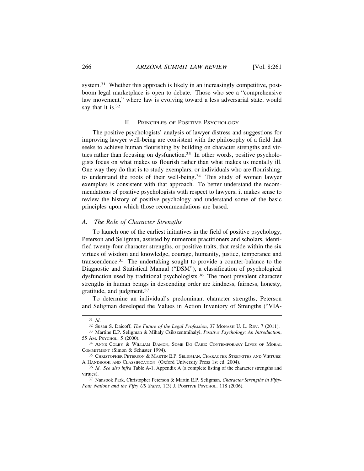system.<sup>31</sup> Whether this approach is likely in an increasingly competitive, postboom legal marketplace is open to debate. Those who see a "comprehensive law movement," where law is evolving toward a less adversarial state, would say that it is.<sup>32</sup>

#### II. PRINCIPLES OF POSITIVE PSYCHOLOGY

The positive psychologists' analysis of lawyer distress and suggestions for improving lawyer well-being are consistent with the philosophy of a field that seeks to achieve human flourishing by building on character strengths and virtues rather than focusing on dysfunction.<sup>33</sup> In other words, positive psychologists focus on what makes us flourish rather than what makes us mentally ill. One way they do that is to study exemplars, or individuals who are flourishing, to understand the roots of their well-being.34 This study of women lawyer exemplars is consistent with that approach. To better understand the recommendations of positive psychologists with respect to lawyers, it makes sense to review the history of positive psychology and understand some of the basic principles upon which those recommendations are based.

# *A. The Role of Character Strengths*

To launch one of the earliest initiatives in the field of positive psychology, Peterson and Seligman, assisted by numerous practitioners and scholars, identified twenty-four character strengths, or positive traits, that reside within the six virtues of wisdom and knowledge, courage, humanity, justice, temperance and transcendence.35 The undertaking sought to provide a counter-balance to the Diagnostic and Statistical Manual ("DSM"), a classification of psychological dysfunction used by traditional psychologists.36 The most prevalent character strengths in human beings in descending order are kindness, fairness, honesty, gratitude, and judgment.37

To determine an individual's predominant character strengths, Peterson and Seligman developed the Values in Action Inventory of Strengths ("VIA-

<sup>31</sup> *Id*.

<sup>32</sup> Susan S. Daicoff, *The Future of the Legal Profession*, 37 MONASH U. L. REV. 7 (2011).

<sup>33</sup> Martine E.P. Seligman & Mihaly Csikszentmihalyi, *Positive Psychology: An Introduction*, 55 AM. PSYCHOL. 5 (2000).

<sup>34</sup> ANNE COLBY & WILLIAM DAMON, SOME DO CARE: CONTEMPORARY LIVES OF MORAL COMMITMENT (Simon & Schuster 1994).

<sup>35</sup> CHRISTOPHER PETERSON & MARTIN E.P. SELIGMAN, CHARACTER STRENGTHS AND VIRTUES: A HANDBOOK AND CLASSIFICATION (Oxford University Press 1st ed. 2004).

<sup>36</sup> *Id*. *See also infra* Table A-1, Appendix A (a complete listing of the character strengths and virtues).

<sup>37</sup> Nansook Park, Christopher Peterson & Martin E.P. Seligman, *Character Strengths in Fifty-Four Nations and the Fifty US States*, 1(3) J. POSITIVE PSYCHOL. 118 (2006).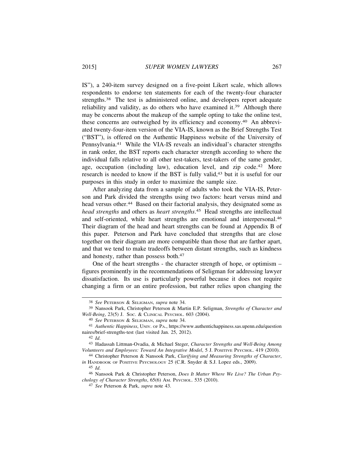IS"), a 240-item survey designed on a five-point Likert scale, which allows respondents to endorse ten statements for each of the twenty-four character strengths.38 The test is administered online, and developers report adequate reliability and validity, as do others who have examined it.<sup>39</sup> Although there may be concerns about the makeup of the sample opting to take the online test, these concerns are outweighed by its efficiency and economy.40 An abbreviated twenty-four-item version of the VIA-IS, known as the Brief Strengths Test ("BST"), is offered on the Authentic Happiness website of the University of Pennsylvania.41 While the VIA-IS reveals an individual's character strengths in rank order, the BST reports each character strength according to where the individual falls relative to all other test-takers, test-takers of the same gender, age, occupation (including law), education level, and zip code.<sup>42</sup> More research is needed to know if the BST is fully valid,43 but it is useful for our purposes in this study in order to maximize the sample size.

After analyzing data from a sample of adults who took the VIA-IS, Peterson and Park divided the strengths using two factors: heart versus mind and head versus other.<sup>44</sup> Based on their factorial analysis, they designated some as *head strengths* and others as *heart strengths*. 45 Head strengths are intellectual and self-oriented, while heart strengths are emotional and interpersonal.46 Their diagram of the head and heart strengths can be found at Appendix B of this paper. Peterson and Park have concluded that strengths that are close together on their diagram are more compatible than those that are farther apart, and that we tend to make tradeoffs between distant strengths, such as kindness and honesty, rather than possess both.<sup>47</sup>

One of the heart strengths - the character strength of hope, or optimism – figures prominently in the recommendations of Seligman for addressing lawyer dissatisfaction. Its use is particularly powerful because it does not require changing a firm or an entire profession, but rather relies upon changing the

<sup>38</sup> *See* PETERSON & SELIGMAN, *supra* note 34.

<sup>39</sup> Nansook Park, Christopher Peterson & Martin E.P. Seligman, *Strengths of Character and Well-Being*, 23(5) J. SOC. & CLINICAL PSYCHOL. 603 (2004).

<sup>40</sup> *See* PETERSON & SELIGMAN, *supra* note 34.

<sup>41</sup> *Authentic Happiness*, UNIV. OF PA., https://www.authentichappiness.sas.upenn.edu/question naires/brief-strengths-test (last visited Jan. 25, 2012).

<sup>42</sup> *Id*.

<sup>43</sup> Hadassah Littman-Ovadia, & Michael Steger, *Character Strengths and Well-Being Among Volunteers and Employees: Toward An Integrative Model*, 5 J. POSITIVE PSYCHOL. 419 (2010).

<sup>44</sup> Christopher Peterson & Nansook Park, *Clarifying and Measuring Strengths of Character*, *in* HANDBOOK OF POSITIVE PSYCHOLOGY 25 (C.R. Snyder & S.J. Lopez eds., 2009).

<sup>45</sup> *Id*.

<sup>46</sup> Nansook Park & Christopher Peterson, *Does It Matter Where We Live? The Urban Psychology of Character Strengths*, 65(6) AM. PSYCHOL. 535 (2010).

<sup>47</sup> *See* Peterson & Park, *supra* note 43.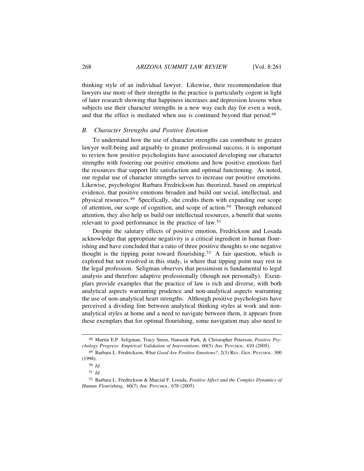thinking style of an individual lawyer. Likewise, their recommendation that lawyers use more of their strengths in the practice is particularly cogent in light of later research showing that happiness increases and depression lessens when subjects use their character strengths in a new way each day for even a week, and that the effect is mediated when use is continued beyond that period.<sup>48</sup>

# *B. Character Strengths and Positive Emotion*

To understand how the use of character strengths can contribute to greater lawyer well-being and arguably to greater professional success, it is important to review how positive psychologists have associated developing our character strengths with fostering our positive emotions and how positive emotions fuel the resources that support life satisfaction and optimal functioning. As noted, our regular use of character strengths serves to increase our positive emotions. Likewise, psychologist Barbara Fredrickson has theorized, based on empirical evidence, that positive emotions broaden and build our social, intellectual, and physical resources.49 Specifically, she credits them with expanding our scope of attention, our scope of cognition, and scope of action.50 Through enhanced attention, they also help us build our intellectual resources, a benefit that seems relevant to good performance in the practice of law.51

Despite the salutary effects of positive emotion, Fredrickson and Losada acknowledge that appropriate negativity is a critical ingredient in human flourishing and have concluded that a ratio of three positive thoughts to one negative thought is the tipping point toward flourishing.<sup>52</sup> A fair question, which is explored but not resolved in this study, is where that tipping point may rest in the legal profession. Seligman observes that pessimism is fundamental to legal analysis and therefore adaptive professionally (though not personally). Exemplars provide examples that the practice of law is rich and diverse, with both analytical aspects warranting prudence and non-analytical aspects warranting the use of non-analytical heart strengths. Although positive psychologists have perceived a dividing line between analytical thinking styles at work and nonanalytical styles at home and a need to navigate between them, it appears from these exemplars that for optimal flourishing, some navigation may also need to

<sup>48</sup> Martin E.P. Seligman, Tracy Steen, Nansook Park, & Christopher Peterson, *Positive Psychology Progress: Empirical Validation of Interventions*. 60(5) AM. PSYCHOL. 410 (2005).

<sup>49</sup> Barbara L. Fredrickson, *What Good Are Positive Emotions?*, 2(3) REV. GEN. PSYCHOL. 300 (1998).

<sup>50</sup> *Id*.

<sup>51</sup> *Id*.

<sup>52</sup> Barbara L. Fredrickson & Marcial F. Losada, *Positive Affect and the Complex Dynamics of Human Flourishing*, 60(7) AM. PSYCHOL. 678 (2005).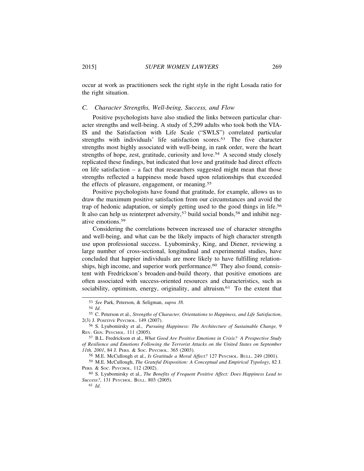occur at work as practitioners seek the right style in the right Losada ratio for the right situation.

# *C. Character Strengths, Well-being, Success, and Flow*

Positive psychologists have also studied the links between particular character strengths and well-being. A study of 5,299 adults who took both the VIA-IS and the Satisfaction with Life Scale ("SWLS") correlated particular strengths with individuals' life satisfaction scores.53 The five character strengths most highly associated with well-being, in rank order, were the heart strengths of hope, zest, gratitude, curiosity and love.<sup>54</sup> A second study closely replicated these findings, but indicated that love and gratitude had direct effects on life satisfaction – a fact that researchers suggested might mean that those strengths reflected a happiness mode based upon relationships that exceeded the effects of pleasure, engagement, or meaning.55

Positive psychologists have found that gratitude, for example, allows us to draw the maximum positive satisfaction from our circumstances and avoid the trap of hedonic adaptation, or simply getting used to the good things in life.56 It also can help us reinterpret adversity,<sup>57</sup> build social bonds,<sup>58</sup> and inhibit negative emotions.59

Considering the correlations between increased use of character strengths and well-being, and what can be the likely impacts of high character strength use upon professional success. Lyubomirsky, King, and Diener, reviewing a large number of cross-sectional, longitudinal and experimental studies, have concluded that happier individuals are more likely to have fulfilling relationships, high income, and superior work performance.<sup>60</sup> They also found, consistent with Fredrickson's broaden-and-build theory, that positive emotions are often associated with success-oriented resources and characteristics, such as sociability, optimism, energy, originality, and altruism.<sup>61</sup> To the extent that

<sup>53</sup> *See* Park, Peterson, & Seligman, *supra 38.*

<sup>54</sup> *Id*.

<sup>55</sup> C. Peterson et al., *Strengths of Character, Orientations to Happiness, and Life Satisfaction*, 2(3) J. POSITIVE PSYCHOL. 149 (2007).

<sup>56</sup> S. Lyubomirsky et al., *Pursuing Happiness: The Architecture of Sustainable Change,* 9 REV. GEN. PSYCHOL. 111 (2005).

<sup>57</sup> B.L. Fredrickson et al., *What Good Are Positive Emotions in Crisis? A Prospective Study of Resilience and Emotions Following the Terrorist Attacks on the United States on September 11th, 2001*, 84 J. PERS. & SOC. PSYCHOL. 365 (2003).

<sup>58</sup> M.E. McCullough et al., *Is Gratitude a Moral Affect?* 127 PSYCHOL. BULL. 249 (2001).

<sup>59</sup> M.E. McCullough, *The Grateful Disposition: A Conceptual and Empirical Typology*, 82 J. PERS. & SOC. PSYCHOL. 112 (2002).

<sup>60</sup> S. Lyubomirsky et al., *The Benefits of Frequent Positive Affect: Does Happiness Lead to Success?*, 131 PSYCHOL. BULL. 803 (2005).

<sup>61</sup> *Id*.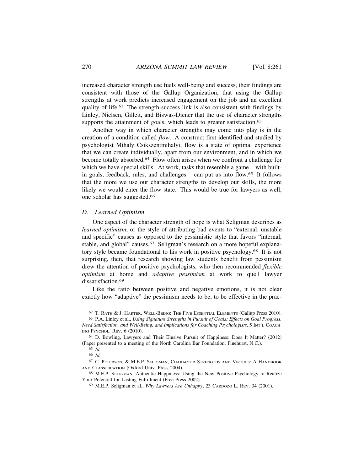increased character strength use fuels well-being and success, their findings are consistent with those of the Gallup Organization, that using the Gallup strengths at work predicts increased engagement on the job and an excellent quality of life.62 The strength-success link is also consistent with findings by Linley, Nielsen, Gillett, and Biswas-Diener that the use of character strengths supports the attainment of goals, which leads to greater satisfaction.<sup>63</sup>

Another way in which character strengths may come into play is in the creation of a condition called *flow*. A construct first identified and studied by psychologist Mihaly Csikszentmihalyi, flow is a state of optimal experience that we can create individually, apart from our environment, and in which we become totally absorbed.64 Flow often arises when we confront a challenge for which we have special skills. At work, tasks that resemble a game – with builtin goals, feedback, rules, and challenges – can put us into flow.65 It follows that the more we use our character strengths to develop our skills, the more likely we would enter the flow state. This would be true for lawyers as well, one scholar has suggested.66

## *D. Learned Optimism*

One aspect of the character strength of hope is what Seligman describes as *learned optimism*, or the style of attributing bad events to "external, unstable and specific" causes as opposed to the pessimistic style that favors "internal, stable, and global" causes.<sup>67</sup> Seligman's research on a more hopeful explanatory style became foundational to his work in positive psychology.68 It is not surprising, then, that research showing law students benefit from pessimism drew the attention of positive psychologists, who then recommended *flexible optimism* at home and *adaptive pessimism* at work to quell lawyer dissatisfaction.<sup>69</sup>

Like the ratio between positive and negative emotions, it is not clear exactly how "adaptive" the pessimism needs to be, to be effective in the prac-

<sup>62</sup> T. RATH & J. HARTER, WELL-BEING: THE FIVE ESSENTIAL ELEMENTS (Gallup Press 2010).

<sup>63</sup> P.A. Linley et al., *Using Signature Strengths in Pursuit of Goals: Effects on Goal Progress, Need Satisfaction, and Well-Being, and Implications for Coaching Psychologists*, 5 INT'L COACH-ING PSYCHOL. REV. 6 (2010).

<sup>64</sup> D. Bowling, Lawyers and Their Elusive Pursuit of Happiness: Does It Matter? (2012) (Paper presented to a meeting of the North Carolina Bar Foundation, Pinehurst, N.C.).

<sup>65</sup> *Id.*

<sup>66</sup> *Id.*

<sup>67</sup> C. PETERSON, & M.E.P. SELIGMAN, CHARACTER STRENGTHS AND VIRTUES: A HANDBOOK AND CLASSIFICATION (Oxford Univ. Press 2004).

<sup>68</sup> M.E.P. SELIGMAN, Authentic Happiness: Using the New Positive Psychology to Realize Your Potential for Lasting Fulfillment (Free Press 2002).

<sup>69</sup> M.E.P. Seligman et al., *Why Lawyers Are Unhappy*, 23 CARDOZO L. REV. 34 (2001).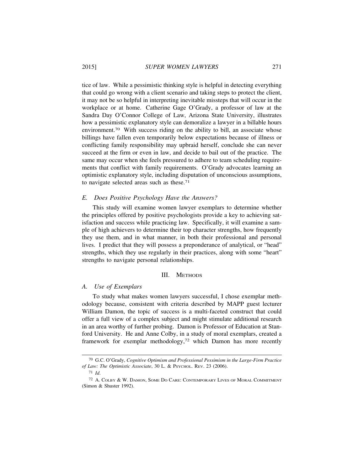tice of law. While a pessimistic thinking style is helpful in detecting everything that could go wrong with a client scenario and taking steps to protect the client, it may not be so helpful in interpreting inevitable missteps that will occur in the workplace or at home. Catherine Gage O'Grady, a professor of law at the Sandra Day O'Connor College of Law, Arizona State University, illustrates how a pessimistic explanatory style can demoralize a lawyer in a billable hours environment.<sup>70</sup> With success riding on the ability to bill, an associate whose billings have fallen even temporarily below expectations because of illness or conflicting family responsibility may upbraid herself, conclude she can never succeed at the firm or even in law, and decide to bail out of the practice. The same may occur when she feels pressured to adhere to team scheduling requirements that conflict with family requirements. O'Grady advocates learning an optimistic explanatory style, including disputation of unconscious assumptions, to navigate selected areas such as these.71

#### *E. Does Positive Psychology Have the Answers?*

This study will examine women lawyer exemplars to determine whether the principles offered by positive psychologists provide a key to achieving satisfaction and success while practicing law. Specifically, it will examine a sample of high achievers to determine their top character strengths, how frequently they use them, and in what manner, in both their professional and personal lives. I predict that they will possess a preponderance of analytical, or "head" strengths, which they use regularly in their practices, along with some "heart" strengths to navigate personal relationships.

# III. METHODS

#### *A. Use of Exemplars*

To study what makes women lawyers successful, I chose exemplar methodology because, consistent with criteria described by MAPP guest lecturer William Damon, the topic of success is a multi-faceted construct that could offer a full view of a complex subject and might stimulate additional research in an area worthy of further probing. Damon is Professor of Education at Stanford University. He and Anne Colby, in a study of moral exemplars, created a framework for exemplar methodology,72 which Damon has more recently

<sup>70</sup> G.C. O'Grady, *Cognitive Optimism and Professional Pessimism in the Large-Firm Practice of Law: The Optimistic Associate*, 30 L. & PSYCHOL. REV. 23 (2006).

<sup>71</sup> *Id*.

<sup>72</sup> A. COLBY & W. DAMON, SOME DO CARE: CONTEMPORARY LIVES OF MORAL COMMITMENT (Simon & Shuster 1992).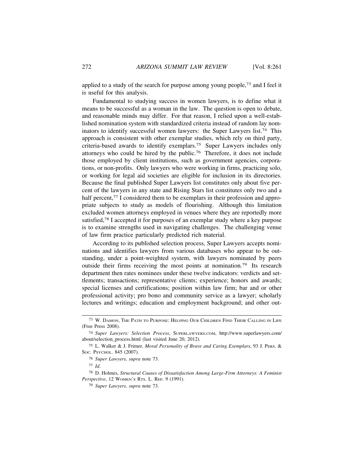applied to a study of the search for purpose among young people,73 and I feel it is useful for this analysis.

Fundamental to studying success in women lawyers, is to define what it means to be successful as a woman in the law. The question is open to debate, and reasonable minds may differ. For that reason, I relied upon a well-established nomination system with standardized criteria instead of random lay nominators to identify successful women lawyers: the Super Lawyers list.<sup>74</sup> This approach is consistent with other exemplar studies, which rely on third party, criteria-based awards to identify exemplars.75 Super Lawyers includes only attorneys who could be hired by the public.76 Therefore, it does not include those employed by client institutions, such as government agencies, corporations, or non-profits. Only lawyers who were working in firms, practicing solo, or working for legal aid societies are eligible for inclusion in its directories. Because the final published Super Lawyers list constitutes only about five percent of the lawyers in any state and Rising Stars list constitutes only two and a half percent,<sup>77</sup> I considered them to be exemplars in their profession and appropriate subjects to study as models of flourishing. Although this limitation excluded women attorneys employed in venues where they are reportedly more satisfied,78 I accepted it for purposes of an exemplar study where a key purpose is to examine strengths used in navigating challenges. The challenging venue of law firm practice particularly predicted rich material.

According to its published selection process, Super Lawyers accepts nominations and identifies lawyers from various databases who appear to be outstanding, under a point-weighted system, with lawyers nominated by peers outside their firms receiving the most points at nomination.79 Its research department then rates nominees under these twelve indicators: verdicts and settlements; transactions; representative clients; experience; honors and awards; special licenses and certifications; position within law firm; bar and or other professional activity; pro bono and community service as a lawyer; scholarly lectures and writings; education and employment background; and other out-

<sup>73</sup> W. DAMON, THE PATH TO PURPOSE: HELPING OUR CHILDREN FIND THEIR CALLING IN LIFE (Free Press 2008).

<sup>74</sup> *Super Lawyers: Selection Process*, SUPERLAWYERS.COM, http://www.superlawyers.com/ about/selection\_process.html (last visited June 20, 2012).

<sup>75</sup> L. Walker & J. Frimer, *Moral Personality of Brave and Caring Exemplars*, 93 J. PERS. & SOC. PSYCHOL. 845 (2007).

<sup>76</sup> *Super Lawyers, supra* note 73.

<sup>77</sup> *Id*.

<sup>78</sup> D. Holmes, *Structural Causes of Dissatisfaction Among Large-Firm Attorneys: A Feminist Perspective*, 12 WOMEN'S RTS. L. REP. 9 (1991).

<sup>79</sup> *Super Lawyers, supra* note 73.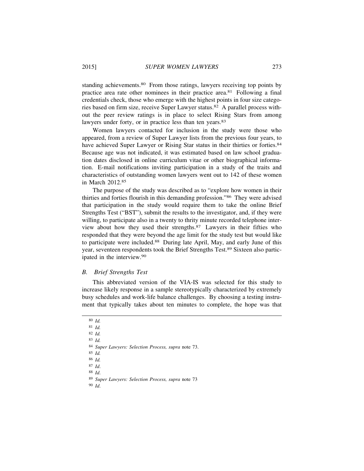standing achievements.<sup>80</sup> From those ratings, lawyers receiving top points by practice area rate other nominees in their practice area.81 Following a final credentials check, those who emerge with the highest points in four size categories based on firm size, receive Super Lawyer status.82 A parallel process without the peer review ratings is in place to select Rising Stars from among lawyers under forty, or in practice less than ten years.<sup>83</sup>

Women lawyers contacted for inclusion in the study were those who appeared, from a review of Super Lawyer lists from the previous four years, to have achieved Super Lawyer or Rising Star status in their thirties or forties.<sup>84</sup> Because age was not indicated, it was estimated based on law school graduation dates disclosed in online curriculum vitae or other biographical information. E-mail notifications inviting participation in a study of the traits and characteristics of outstanding women lawyers went out to 142 of these women in March 2012.85

The purpose of the study was described as to "explore how women in their thirties and forties flourish in this demanding profession."86 They were advised that participation in the study would require them to take the online Brief Strengths Test ("BST"), submit the results to the investigator, and, if they were willing, to participate also in a twenty to thrity minute recorded telephone interview about how they used their strengths.87 Lawyers in their fifties who responded that they were beyond the age limit for the study test but would like to participate were included.<sup>88</sup> During late April, May, and early June of this year, seventeen respondents took the Brief Strengths Test.89 Sixteen also participated in the interview.90

#### *B. Brief Strengths Test*

This abbreviated version of the VIA-IS was selected for this study to increase likely response in a sample stereotypically characterized by extremely busy schedules and work-life balance challenges. By choosing a testing instrument that typically takes about ten minutes to complete, the hope was that

80 *Id.*

81 *Id.*

82 *Id.*

83 *Id.*

84 *Super Lawyers: Selection Process, supra* note 73.

85 *Id.*

86 *Id.*

87 *Id*.

88 *Id*.

89 *Super Lawyers: Selection Process, supra* note 73

90 *Id*.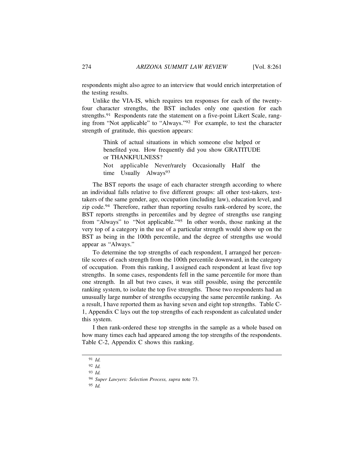respondents might also agree to an interview that would enrich interpretation of the testing results.

Unlike the VIA-IS, which requires ten responses for each of the twentyfour character strengths, the BST includes only one question for each strengths.<sup>91</sup> Respondents rate the statement on a five-point Likert Scale, ranging from "Not applicable" to "Always."92 For example, to test the character strength of gratitude, this question appears:

> Think of actual situations in which someone else helped or benefited you. How frequently did you show GRATITUDE or THANKFULNESS?

> Not applicable Never/rarely Occasionally Half the time Usually Always<sup>93</sup>

The BST reports the usage of each character strength according to where an individual falls relative to five different groups: all other test-takers, testtakers of the same gender, age, occupation (including law), education level, and zip code.94 Therefore, rather than reporting results rank-ordered by score, the BST reports strengths in percentiles and by degree of strengths use ranging from "Always" to "Not applicable."95 In other words, those ranking at the very top of a category in the use of a particular strength would show up on the BST as being in the 100th percentile, and the degree of strengths use would appear as "Always."

To determine the top strengths of each respondent, I arranged her percentile scores of each strength from the 100th percentile downward, in the category of occupation. From this ranking, I assigned each respondent at least five top strengths. In some cases, respondents fell in the same percentile for more than one strength. In all but two cases, it was still possible, using the percentile ranking system, to isolate the top five strengths. Those two respondents had an unusually large number of strengths occupying the same percentile ranking. As a result, I have reported them as having seven and eight top strengths. Table C-1, Appendix C lays out the top strengths of each respondent as calculated under this system.

I then rank-ordered these top strengths in the sample as a whole based on how many times each had appeared among the top strengths of the respondents. Table C-2, Appendix C shows this ranking.

<sup>91</sup> *Id.*

<sup>92</sup> *Id.*

<sup>93</sup> *Id.*

<sup>94</sup> *Super Lawyers: Selection Process, supra* note 73.

<sup>95</sup> *Id.*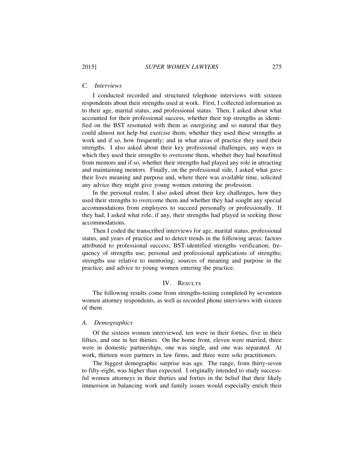# *C. Interviews*

I conducted recorded and structured telephone interviews with sixteen respondents about their strengths used at work. First, I collected information as to their age, marital status, and professional status. Then, I asked about what accounted for their professional success, whether their top strengths as identified on the BST resonated with them as energizing and so natural that they could almost not help but exercise them; whether they used these strengths at work and if so, how frequently; and in what areas of practice they used their strengths. I also asked about their key professional challenges, any ways in which they used their strengths to overcome them, whether they had benefitted from mentors and if so, whether their strengths had played any role in attracting and maintaining mentors. Finally, on the professional side, I asked what gave their lives meaning and purpose and, where there was available time, solicited any advice they might give young women entering the profession.

In the personal realm, I also asked about their key challenges, how they used their strengths to overcome them and whether they had sought any special accommodations from employers to succeed personally or professionally. If they had, I asked what role, if any, their strengths had played in seeking those accommodations.

Then I coded the transcribed interviews for age, marital status, professional status, and years of practice and to detect trends in the following areas: factors attributed to professional success; BST-identified strengths verification; frequency of strengths use; personal and professional applications of strengths; strengths use relative to mentoring; sources of meaning and purpose in the practice; and advice to young women entering the practice.

# IV. RESULTS

The following results come from strengths-testing completed by seventeen women attorney respondents, as well as recorded phone interviews with sixteen of them.

# *A. Demographics*

Of the sixteen women interviewed, ten were in their forties, five in their fifties, and one in her thirties. On the home front, eleven were married, three were in domestic partnerships, one was single, and one was separated. At work, thirteen were partners in law firms, and three were solo practitioners.

The biggest demographic surprise was age. The range, from thirty-seven to fifty-eight, was higher than expected. I originally intended to study successful women attorneys in their thirties and forties in the belief that their likely immersion in balancing work and family issues would especially enrich their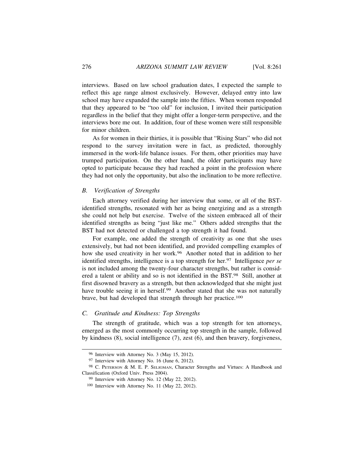interviews. Based on law school graduation dates, I expected the sample to reflect this age range almost exclusively. However, delayed entry into law school may have expanded the sample into the fifties. When women responded that they appeared to be "too old" for inclusion, I invited their participation regardless in the belief that they might offer a longer-term perspective, and the interviews bore me out. In addition, four of these women were still responsible for minor children.

As for women in their thirties, it is possible that "Rising Stars" who did not respond to the survey invitation were in fact, as predicted, thoroughly immersed in the work-life balance issues. For them, other priorities may have trumped participation. On the other hand, the older participants may have opted to participate because they had reached a point in the profession where they had not only the opportunity, but also the inclination to be more reflective.

# *B. Verification of Strengths*

Each attorney verified during her interview that some, or all of the BSTidentified strengths, resonated with her as being energizing and as a strength she could not help but exercise. Twelve of the sixteen embraced all of their identified strengths as being "just like me." Others added strengths that the BST had not detected or challenged a top strength it had found.

For example, one added the strength of creativity as one that she uses extensively, but had not been identified, and provided compelling examples of how she used creativity in her work.<sup>96</sup> Another noted that in addition to her identified strengths, intelligence is a top strength for her.97 Intelligence *per se* is not included among the twenty-four character strengths, but rather is considered a talent or ability and so is not identified in the BST.98 Still, another at first disowned bravery as a strength, but then acknowledged that she might just have trouble seeing it in herself.<sup>99</sup> Another stated that she was not naturally brave, but had developed that strength through her practice.100

# *C. Gratitude and Kindness: Top Strengths*

The strength of gratitude, which was a top strength for ten attorneys, emerged as the most commonly occurring top strength in the sample, followed by kindness (8), social intelligence (7), zest (6), and then bravery, forgiveness,

<sup>96</sup> Interview with Attorney No. 3 (May 15, 2012).

<sup>97</sup> Interview with Attorney No. 16 (June 6, 2012).

<sup>98</sup> C. PETERSON & M. E. P. SELIGMAN, Character Strengths and Virtues: A Handbook and Classification (Oxford Univ. Press 2004).

<sup>99</sup> Interview with Attorney No. 12 (May 22, 2012).

<sup>100</sup> Interview with Attorney No. 11 (May 22, 2012).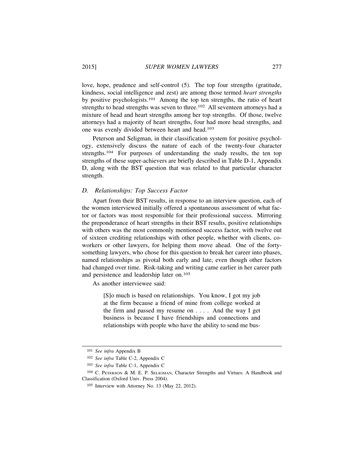love, hope, prudence and self-control (5). The top four strengths (gratitude, kindness, social intelligence and zest) are among those termed *heart strengths* by positive psychologists.101 Among the top ten strengths, the ratio of heart strengths to head strengths was seven to three.<sup>102</sup> All seventeen attorneys had a mixture of head and heart strengths among her top strengths. Of those, twelve attorneys had a majority of heart strengths, four had more head strengths, and one was evenly divided between heart and head.103

Peterson and Seligman, in their classification system for positive psychology, extensively discuss the nature of each of the twenty-four character strengths.<sup>104</sup> For purposes of understanding the study results, the ten top strengths of these super-achievers are briefly described in Table D-1, Appendix D, along with the BST question that was related to that particular character strength.

# *D. Relationships: Top Success Factor*

Apart from their BST results, in response to an interview question, each of the women interviewed initially offered a spontaneous assessment of what factor or factors was most responsible for their professional success. Mirroring the preponderance of heart strengths in their BST results, positive relationships with others was the most commonly mentioned success factor, with twelve out of sixteen crediting relationships with other people, whether with clients, coworkers or other lawyers, for helping them move ahead. One of the fortysomething lawyers, who chose for this question to break her career into phases, named relationships as pivotal both early and late, even though other factors had changed over time. Risk-taking and writing came earlier in her career path and persistence and leadership later on.105

As another interviewee said:

[S]o much is based on relationships. You know, I got my job at the firm because a friend of mine from college worked at the firm and passed my resume on . . . . And the way I get business is because I have friendships and connections and relationships with people who have the ability to send me bus-

<sup>101</sup> *See infra* Appendix B

<sup>102</sup> *See infra* Table C-2, Appendix C

<sup>103</sup> *See infra* Table C-1, Appendix C

<sup>104</sup> C. PETERSON & M. E. P. SELIGMAN, Character Strengths and Virtues: A Handbook and Classification (Oxford Univ. Press 2004).

<sup>105</sup> Interview with Attorney No. 13 (May 22, 2012).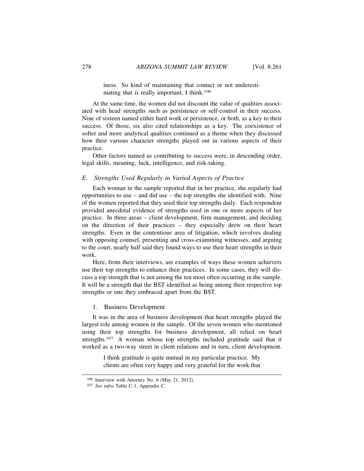iness. So kind of maintaining that contact or not underestimating that is really important. I think.<sup>106</sup>

At the same time, the women did not discount the value of qualities associated with head strengths such as persistence or self-control in their success. Nine of sixteen named either hard work or persistence, or both, as a key to their success. Of those, six also cited relationships as a key. The coexistence of softer and more analytical qualities continued as a theme when they discussed how their various character strengths played out in various aspects of their practice.

Other factors named as contributing to success were, in descending order, legal skills, meaning, luck, intelligence, and risk-taking.

# *E. Strengths Used Regularly in Varied Aspects of Practice*

Each woman in the sample reported that in her practice, she regularly had opportunities to use – and did use – the top strengths she identified with. Nine of the women reported that they used their top strengths daily. Each respondent provided anecdotal evidence of strengths used in one or more aspects of her practice. In three areas – client development, firm management, and deciding on the direction of their practices – they especially drew on their heart strengths. Even in the contentious area of litigation, which involves dealing with opposing counsel, presenting and cross-examining witnesses, and arguing to the court, nearly half said they found ways to use their heart strengths in their work.

Here, from their interviews, are examples of ways these women achievers use their top strengths to enhance their practices. In some cases, they will discuss a top strength that is not among the ten most often occurring in the sample. It will be a strength that the BST identified as being among their respective top strengths or one they embraced apart from the BST.

## 1. Business Development

It was in the area of business development that heart strengths played the largest role among women in the sample. Of the seven women who mentioned using their top strengths for business development, all relied on heart strengths.107 A woman whose top strengths included gratitude said that it worked as a two-way street in client relations and in turn, client development.

> I think gratitude is quite mutual in my particular practice. My clients are often very happy and very grateful for the work that

<sup>106</sup> Interview with Attorney No. 6 (May 21, 2012).

<sup>107</sup> *See infra* Table C-1, Appendix C.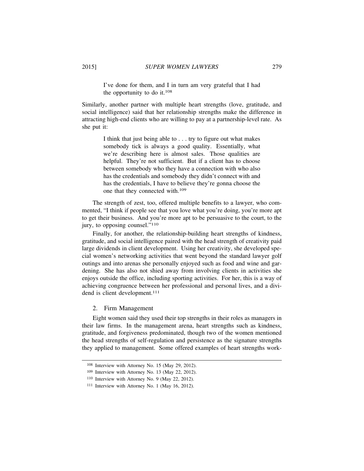I've done for them, and I in turn am very grateful that I had the opportunity to do it.<sup>108</sup>

Similarly, another partner with multiple heart strengths (love, gratitude, and social intelligence) said that her relationship strengths make the difference in attracting high-end clients who are willing to pay at a partnership-level rate. As she put it:

> I think that just being able to . . . try to figure out what makes somebody tick is always a good quality. Essentially, what we're describing here is almost sales. Those qualities are helpful. They're not sufficient. But if a client has to choose between somebody who they have a connection with who also has the credentials and somebody they didn't connect with and has the credentials, I have to believe they're gonna choose the one that they connected with.109

The strength of zest, too, offered multiple benefits to a lawyer, who commented, "I think if people see that you love what you're doing, you're more apt to get their business. And you're more apt to be persuasive to the court, to the jury, to opposing counsel."110

Finally, for another, the relationship-building heart strengths of kindness, gratitude, and social intelligence paired with the head strength of creativity paid large dividends in client development. Using her creativity, she developed special women's networking activities that went beyond the standard lawyer golf outings and into arenas she personally enjoyed such as food and wine and gardening. She has also not shied away from involving clients in activities she enjoys outside the office, including sporting activities. For her, this is a way of achieving congruence between her professional and personal lives, and a dividend is client development.<sup>111</sup>

2. Firm Management

Eight women said they used their top strengths in their roles as managers in their law firms. In the management arena, heart strengths such as kindness, gratitude, and forgiveness predominated, though two of the women mentioned the head strengths of self-regulation and persistence as the signature strengths they applied to management. Some offered examples of heart strengths work-

<sup>108</sup> Interview with Attorney No. 15 (May 29, 2012).

<sup>109</sup> Interview with Attorney No. 13 (May 22, 2012).

<sup>110</sup> Interview with Attorney No. 9 (May 22, 2012).

<sup>111</sup> Interview with Attorney No. 1 (May 16, 2012).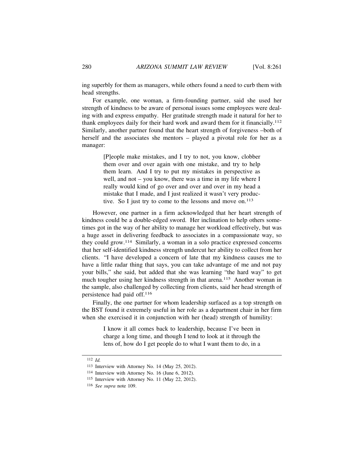ing superbly for them as managers, while others found a need to curb them with head strengths.

For example, one woman, a firm-founding partner, said she used her strength of kindness to be aware of personal issues some employees were dealing with and express empathy. Her gratitude strength made it natural for her to thank employees daily for their hard work and award them for it financially.112 Similarly, another partner found that the heart strength of forgiveness –both of herself and the associates she mentors – played a pivotal role for her as a manager:

> [P]eople make mistakes, and I try to not, you know, clobber them over and over again with one mistake, and try to help them learn. And I try to put my mistakes in perspective as well, and not – you know, there was a time in my life where I really would kind of go over and over and over in my head a mistake that I made, and I just realized it wasn't very productive. So I just try to come to the lessons and move on.<sup>113</sup>

However, one partner in a firm acknowledged that her heart strength of kindness could be a double-edged sword. Her inclination to help others sometimes got in the way of her ability to manage her workload effectively, but was a huge asset in delivering feedback to associates in a compassionate way, so they could grow.114 Similarly, a woman in a solo practice expressed concerns that her self-identified kindness strength undercut her ability to collect from her clients. "I have developed a concern of late that my kindness causes me to have a little radar thing that says, you can take advantage of me and not pay your bills," she said, but added that she was learning "the hard way" to get much tougher using her kindness strength in that arena.115 Another woman in the sample, also challenged by collecting from clients, said her head strength of persistence had paid off.116

Finally, the one partner for whom leadership surfaced as a top strength on the BST found it extremely useful in her role as a department chair in her firm when she exercised it in conjunction with her (head) strength of humility:

> I know it all comes back to leadership, because I've been in charge a long time, and though I tend to look at it through the lens of, how do I get people do to what I want them to do, in a

<sup>112</sup> *Id.*

<sup>113</sup> Interview with Attorney No. 14 (May 25, 2012).

<sup>114</sup> Interview with Attorney No. 16 (June 6, 2012).

<sup>115</sup> Interview with Attorney No. 11 (May 22, 2012).

<sup>116</sup> *See supra* note 109.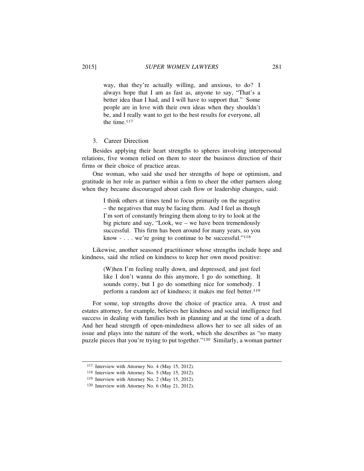way, that they're actually willing, and anxious, to do? I always hope that I am as fast as, anyone to say, "That's a better idea than I had, and I will have to support that." Some people are in love with their own ideas when they shouldn't be, and I really want to get to the best results for everyone, all the time.117

# 3. Career Direction

Besides applying their heart strengths to spheres involving interpersonal relations, five women relied on them to steer the business direction of their firms or their choice of practice areas.

One woman, who said she used her strengths of hope or optimism, and gratitude in her role as partner within a firm to cheer the other partners along when they became discouraged about cash flow or leadership changes, said:

> I think others at times tend to focus primarily on the negative – the negatives that may be facing them. And I feel as though I'm sort of constantly bringing them along to try to look at the big picture and say, "Look, we – we have been tremendously successful. This firm has been around for many years, so you know  $-\ldots$  we're going to continue to be successful."<sup>118</sup>

Likewise, another seasoned practitioner whose strengths include hope and kindness, said she relied on kindness to keep her own mood positive:

> (W)hen I'm feeling really down, and depressed, and just feel like I don't wanna do this anymore, I go do something. It sounds corny, but I go do something nice for somebody. I perform a random act of kindness; it makes me feel better.<sup>119</sup>

For some, top strengths drove the choice of practice area. A trust and estates attorney, for example, believes her kindness and social intelligence fuel success in dealing with families both in planning and at the time of a death. And her head strength of open-mindedness allows her to see all sides of an issue and plays into the nature of the work, which she describes as "so many puzzle pieces that you're trying to put together."120 Similarly, a woman partner

<sup>117</sup> Interview with Attorney No. 4 (May 15, 2012).

<sup>118</sup> Interview with Attorney No. 5 (May 15, 2012).

<sup>119</sup> Interview with Attorney No. 2 (May 15, 2012).

<sup>120</sup> Interview with Attorney No. 6 (May 21, 2012).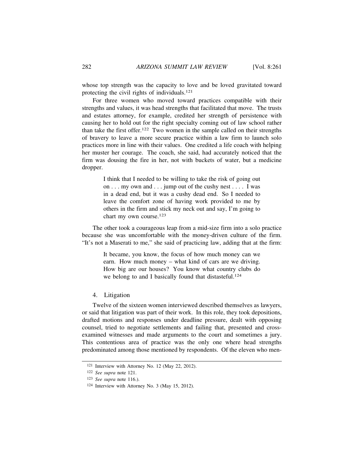whose top strength was the capacity to love and be loved gravitated toward protecting the civil rights of individuals.121

For three women who moved toward practices compatible with their strengths and values, it was head strengths that facilitated that move. The trusts and estates attorney, for example, credited her strength of persistence with causing her to hold out for the right specialty coming out of law school rather than take the first offer.122 Two women in the sample called on their strengths of bravery to leave a more secure practice within a law firm to launch solo practices more in line with their values. One credited a life coach with helping her muster her courage. The coach, she said, had accurately noticed that the firm was dousing the fire in her, not with buckets of water, but a medicine dropper.

> I think that I needed to be willing to take the risk of going out on . . . my own and . . . jump out of the cushy nest . . . . I was in a dead end, but it was a cushy dead end. So I needed to leave the comfort zone of having work provided to me by others in the firm and stick my neck out and say, I'm going to chart my own course.123

The other took a courageous leap from a mid-size firm into a solo practice because she was uncomfortable with the money-driven culture of the firm. "It's not a Maserati to me," she said of practicing law, adding that at the firm:

> It became, you know, the focus of how much money can we earn. How much money – what kind of cars are we driving. How big are our houses? You know what country clubs do we belong to and I basically found that distasteful.<sup>124</sup>

4. Litigation

Twelve of the sixteen women interviewed described themselves as lawyers, or said that litigation was part of their work. In this role, they took depositions, drafted motions and responses under deadline pressure, dealt with opposing counsel, tried to negotiate settlements and failing that, presented and crossexamined witnesses and made arguments to the court and sometimes a jury. This contentious area of practice was the only one where head strengths predominated among those mentioned by respondents. Of the eleven who men-

<sup>121</sup> Interview with Attorney No. 12 (May 22, 2012).

<sup>122</sup> *See supra* note 121.

<sup>123</sup> *See supra* note 116.).

<sup>124</sup> Interview with Attorney No. 3 (May 15, 2012).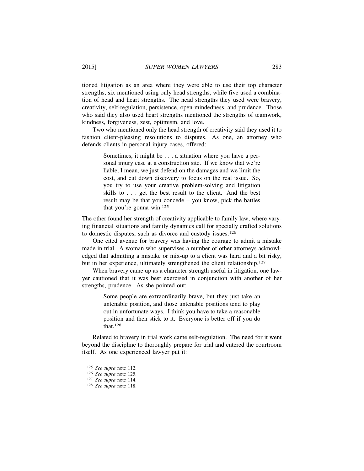tioned litigation as an area where they were able to use their top character strengths, six mentioned using only head strengths, while five used a combination of head and heart strengths. The head strengths they used were bravery, creativity, self-regulation, persistence, open-mindedness, and prudence. Those who said they also used heart strengths mentioned the strengths of teamwork, kindness, forgiveness, zest, optimism, and love.

Two who mentioned only the head strength of creativity said they used it to fashion client-pleasing resolutions to disputes. As one, an attorney who defends clients in personal injury cases, offered:

> Sometimes, it might be . . . a situation where you have a personal injury case at a construction site. If we know that we're liable, I mean, we just defend on the damages and we limit the cost, and cut down discovery to focus on the real issue. So, you try to use your creative problem-solving and litigation skills to . . . get the best result to the client. And the best result may be that you concede – you know, pick the battles that you're gonna win.125

The other found her strength of creativity applicable to family law, where varying financial situations and family dynamics call for specially crafted solutions to domestic disputes, such as divorce and custody issues.126

One cited avenue for bravery was having the courage to admit a mistake made in trial. A woman who supervises a number of other attorneys acknowledged that admitting a mistake or mix-up to a client was hard and a bit risky, but in her experience, ultimately strengthened the client relationship.<sup>127</sup>

When bravery came up as a character strength useful in litigation, one lawyer cautioned that it was best exercised in conjunction with another of her strengths, prudence. As she pointed out:

> Some people are extraordinarily brave, but they just take an untenable position, and those untenable positions tend to play out in unfortunate ways. I think you have to take a reasonable position and then stick to it. Everyone is better off if you do that.128

Related to bravery in trial work came self-regulation. The need for it went beyond the discipline to thoroughly prepare for trial and entered the courtroom itself. As one experienced lawyer put it:

<sup>125</sup> *See supra* note 112.

<sup>126</sup> *See supra* note 125.

<sup>127</sup> *See supra* note 114.

<sup>128</sup> *See supra* note 118.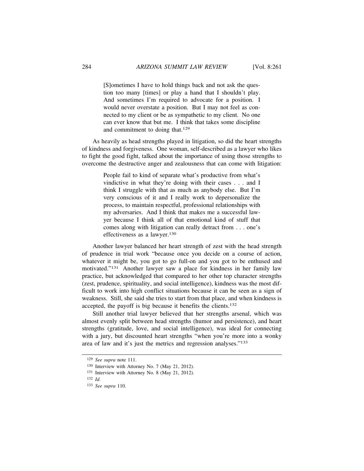[S]ometimes I have to hold things back and not ask the question too many [times] or play a hand that I shouldn't play. And sometimes I'm required to advocate for a position. I would never overstate a position. But I may not feel as connected to my client or be as sympathetic to my client. No one can ever know that but me. I think that takes some discipline and commitment to doing that.129

As heavily as head strengths played in litigation, so did the heart strengths of kindness and forgiveness. One woman, self-described as a lawyer who likes to fight the good fight, talked about the importance of using those strengths to overcome the destructive anger and zealousness that can come with litigation:

> People fail to kind of separate what's productive from what's vindictive in what they're doing with their cases . . . and I think I struggle with that as much as anybody else. But I'm very conscious of it and I really work to depersonalize the process, to maintain respectful, professional relationships with my adversaries. And I think that makes me a successful lawyer because I think all of that emotional kind of stuff that comes along with litigation can really detract from . . . one's effectiveness as a lawyer.130

Another lawyer balanced her heart strength of zest with the head strength of prudence in trial work "because once you decide on a course of action, whatever it might be, you got to go full-on and you got to be enthused and motivated."131 Another lawyer saw a place for kindness in her family law practice, but acknowledged that compared to her other top character strengths (zest, prudence, spirituality, and social intelligence), kindness was the most difficult to work into high conflict situations because it can be seen as a sign of weakness. Still, she said she tries to start from that place, and when kindness is accepted, the payoff is big because it benefits the clients.132

Still another trial lawyer believed that her strengths arsenal, which was almost evenly split between head strengths (humor and persistence), and heart strengths (gratitude, love, and social intelligence), was ideal for connecting with a jury, but discounted heart strengths "when you're more into a wonky area of law and it's just the metrics and regression analyses."133

<sup>129</sup> *See supra* note 111.

<sup>130</sup> Interview with Attorney No. 7 (May 21, 2012).

<sup>131</sup> Interview with Attorney No. 8 (May 21, 2012).

<sup>132</sup> *Id.*

<sup>133</sup> *See supra* 110.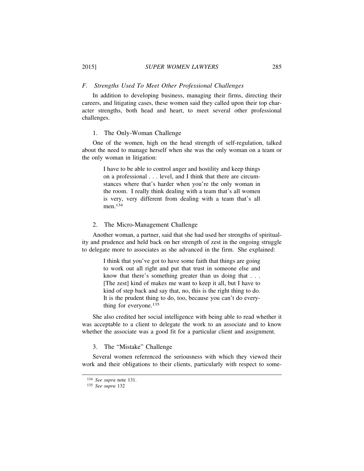## *F. Strengths Used To Meet Other Professional Challenges*

In addition to developing business, managing their firms, directing their careers, and litigating cases, these women said they called upon their top character strengths, both head and heart, to meet several other professional challenges.

# 1. The Only-Woman Challenge

One of the women, high on the head strength of self-regulation, talked about the need to manage herself when she was the only woman on a team or the only woman in litigation:

> I have to be able to control anger and hostility and keep things on a professional . . . level, and I think that there are circumstances where that's harder when you're the only woman in the room. I really think dealing with a team that's all women is very, very different from dealing with a team that's all men.134

# 2. The Micro-Management Challenge

Another woman, a partner, said that she had used her strengths of spirituality and prudence and held back on her strength of zest in the ongoing struggle to delegate more to associates as she advanced in the firm. She explained:

> I think that you've got to have some faith that things are going to work out all right and put that trust in someone else and know that there's something greater than us doing that . . . [The zest] kind of makes me want to keep it all, but I have to kind of step back and say that, no, this is the right thing to do. It is the prudent thing to do, too, because you can't do everything for everyone.135

She also credited her social intelligence with being able to read whether it was acceptable to a client to delegate the work to an associate and to know whether the associate was a good fit for a particular client and assignment.

# 3. The "Mistake" Challenge

Several women referenced the seriousness with which they viewed their work and their obligations to their clients, particularly with respect to some-

<sup>134</sup> *See supra* note 131.

<sup>135</sup> *See supra* 132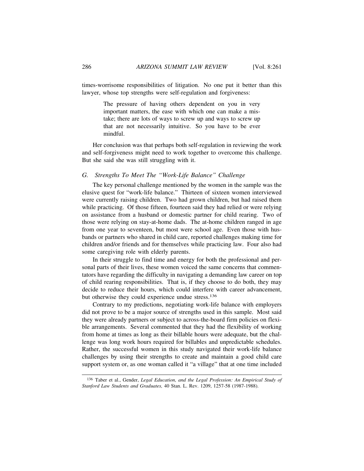times-worrisome responsibilities of litigation. No one put it better than this lawyer, whose top strengths were self-regulation and forgiveness:

> The pressure of having others dependent on you in very important matters, the ease with which one can make a mistake; there are lots of ways to screw up and ways to screw up that are not necessarily intuitive. So you have to be ever mindful.

Her conclusion was that perhaps both self-regulation in reviewing the work and self-forgiveness might need to work together to overcome this challenge. But she said she was still struggling with it.

# *G. Strengths To Meet The "Work-Life Balance" Challenge*

The key personal challenge mentioned by the women in the sample was the elusive quest for "work-life balance." Thirteen of sixteen women interviewed were currently raising children. Two had grown children, but had raised them while practicing. Of those fifteen, fourteen said they had relied or were relying on assistance from a husband or domestic partner for child rearing. Two of those were relying on stay-at-home dads. The at-home children ranged in age from one year to seventeen, but most were school age. Even those with husbands or partners who shared in child care, reported challenges making time for children and/or friends and for themselves while practicing law. Four also had some caregiving role with elderly parents.

In their struggle to find time and energy for both the professional and personal parts of their lives, these women voiced the same concerns that commentators have regarding the difficulty in navigating a demanding law career on top of child rearing responsibilities. That is, if they choose to do both, they may decide to reduce their hours, which could interfere with career advancement, but otherwise they could experience undue stress.136

Contrary to my predictions, negotiating work-life balance with employers did not prove to be a major source of strengths used in this sample. Most said they were already partners or subject to across-the-board firm policies on flexible arrangements. Several commented that they had the flexibility of working from home at times as long as their billable hours were adequate, but the challenge was long work hours required for billables and unpredictable schedules. Rather, the successful women in this study navigated their work-life balance challenges by using their strengths to create and maintain a good child care support system or, as one woman called it "a village" that at one time included

136 Taber et al., Gender, *Legal Education, and the Legal Profession: An Empirical Study of Stanford Law Students and Graduates,* 40 Stan. L. Rev. 1209, 1257-58 (1987-1988).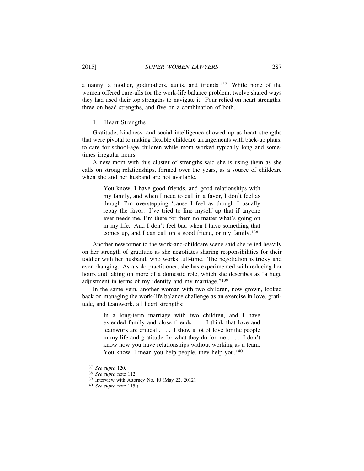a nanny, a mother, godmothers, aunts, and friends.137 While none of the women offered cure-alls for the work-life balance problem, twelve shared ways they had used their top strengths to navigate it. Four relied on heart strengths, three on head strengths, and five on a combination of both.

1. Heart Strengths

Gratitude, kindness, and social intelligence showed up as heart strengths that were pivotal to making flexible childcare arrangements with back-up plans, to care for school-age children while mom worked typically long and sometimes irregular hours.

A new mom with this cluster of strengths said she is using them as she calls on strong relationships, formed over the years, as a source of childcare when she and her husband are not available.

> You know, I have good friends, and good relationships with my family, and when I need to call in a favor, I don't feel as though I'm overstepping 'cause I feel as though I usually repay the favor. I've tried to line myself up that if anyone ever needs me, I'm there for them no matter what's going on in my life. And I don't feel bad when I have something that comes up, and I can call on a good friend, or my family.138

Another newcomer to the work-and-childcare scene said she relied heavily on her strength of gratitude as she negotiates sharing responsibilities for their toddler with her husband, who works full-time. The negotiation is tricky and ever changing. As a solo practitioner, she has experimented with reducing her hours and taking on more of a domestic role, which she describes as "a huge adjustment in terms of my identity and my marriage."139

In the same vein, another woman with two children, now grown, looked back on managing the work-life balance challenge as an exercise in love, gratitude, and teamwork, all heart strengths:

> In a long-term marriage with two children, and I have extended family and close friends . . . I think that love and teamwork are critical . . . . I show a lot of love for the people in my life and gratitude for what they do for me . . . . I don't know how you have relationships without working as a team. You know, I mean you help people, they help you.<sup>140</sup>

<sup>137</sup> *See supra* 120.

<sup>138</sup> *See supra* note 112.

<sup>139</sup> Interview with Attorney No. 10 (May 22, 2012).

<sup>140</sup> *See supra* note 115.).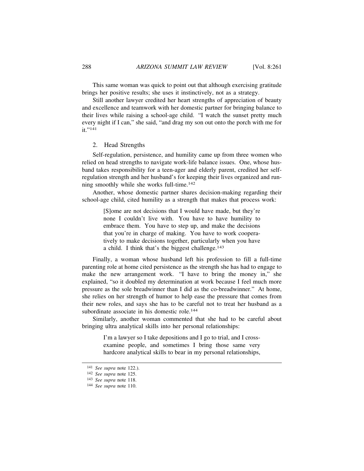This same woman was quick to point out that although exercising gratitude brings her positive results; she uses it instinctively, not as a strategy.

Still another lawyer credited her heart strengths of appreciation of beauty and excellence and teamwork with her domestic partner for bringing balance to their lives while raising a school-age child. "I watch the sunset pretty much every night if I can," she said, "and drag my son out onto the porch with me for it."<sup>141</sup>

# 2. Head Strengths

Self-regulation, persistence, and humility came up from three women who relied on head strengths to navigate work-life balance issues. One, whose husband takes responsibility for a teen-ager and elderly parent, credited her selfregulation strength and her husband's for keeping their lives organized and running smoothly while she works full-time.142

Another, whose domestic partner shares decision-making regarding their school-age child, cited humility as a strength that makes that process work:

> [S]ome are not decisions that I would have made, but they're none I couldn't live with. You have to have humility to embrace them. You have to step up, and make the decisions that you're in charge of making. You have to work cooperatively to make decisions together, particularly when you have a child. I think that's the biggest challenge. $143$

Finally, a woman whose husband left his profession to fill a full-time parenting role at home cited persistence as the strength she has had to engage to make the new arrangement work. "I have to bring the money in," she explained, "so it doubled my determination at work because I feel much more pressure as the sole breadwinner than I did as the co-breadwinner." At home, she relies on her strength of humor to help ease the pressure that comes from their new roles, and says she has to be careful not to treat her husband as a subordinate associate in his domestic role.<sup>144</sup>

Similarly, another woman commented that she had to be careful about bringing ultra analytical skills into her personal relationships:

> I'm a lawyer so I take depositions and I go to trial, and I crossexamine people, and sometimes I bring those same very hardcore analytical skills to bear in my personal relationships,

<sup>141</sup> *See supra* note 122.).

<sup>142</sup> *See supra* note 125.

<sup>143</sup> *See supra* note 118.

<sup>144</sup> *See supra* note 110.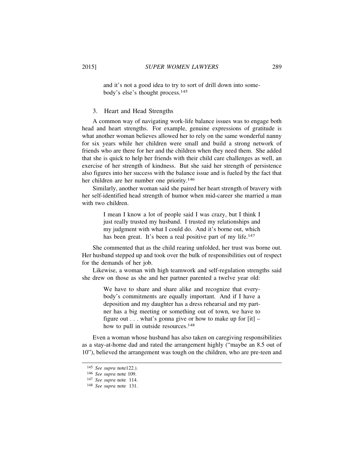and it's not a good idea to try to sort of drill down into somebody's else's thought process.145

# 3. Heart and Head Strengths

A common way of navigating work-life balance issues was to engage both head and heart strengths. For example, genuine expressions of gratitude is what another woman believes allowed her to rely on the same wonderful nanny for six years while her children were small and build a strong network of friends who are there for her and the children when they need them. She added that she is quick to help her friends with their child care challenges as well, an exercise of her strength of kindness. But she said her strength of persistence also figures into her success with the balance issue and is fueled by the fact that her children are her number one priority.146

Similarly, another woman said she paired her heart strength of bravery with her self-identified head strength of humor when mid-career she married a man with two children.

> I mean I know a lot of people said I was crazy, but I think I just really trusted my husband. I trusted my relationships and my judgment with what I could do. And it's borne out, which has been great. It's been a real positive part of my life.<sup>147</sup>

She commented that as the child rearing unfolded, her trust was borne out. Her husband stepped up and took over the bulk of responsibilities out of respect for the demands of her job.

Likewise, a woman with high teamwork and self-regulation strengths said she drew on those as she and her partner parented a twelve year old:

> We have to share and share alike and recognize that everybody's commitments are equally important. And if I have a deposition and my daughter has a dress rehearsal and my partner has a big meeting or something out of town, we have to figure out  $\ldots$  what's gonna give or how to make up for [it] – how to pull in outside resources.<sup>148</sup>

Even a woman whose husband has also taken on caregiving responsibilities as a stay-at-home dad and rated the arrangement highly ("maybe an 8.5 out of 10"), believed the arrangement was tough on the children, who are pre-teen and

<sup>145</sup> *See supra* note122.).

<sup>146</sup> *See supra* note 109.

<sup>147</sup> *See supra* note 114.

<sup>148</sup> *See supra* note 131.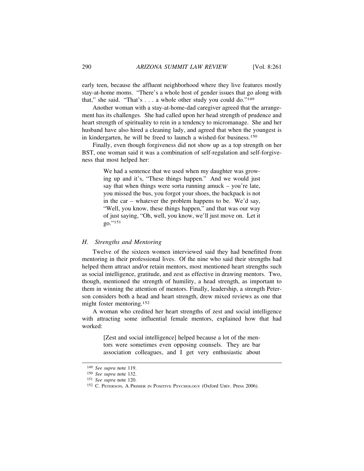early teen, because the affluent neighborhood where they live features mostly stay-at-home moms. "There's a whole host of gender issues that go along with that," she said. "That's  $\dots$  a whole other study you could do."<sup>149</sup>

Another woman with a stay-at-home-dad caregiver agreed that the arrangement has its challenges. She had called upon her head strength of prudence and heart strength of spirituality to rein in a tendency to micromanage. She and her husband have also hired a cleaning lady, and agreed that when the youngest is in kindergarten, he will be freed to launch a wished-for business.150

Finally, even though forgiveness did not show up as a top strength on her BST, one woman said it was a combination of self-regulation and self-forgiveness that most helped her:

> We had a sentence that we used when my daughter was growing up and it's, "These things happen." And we would just say that when things were sorta running amuck – you're late, you missed the bus, you forgot your shoes, the backpack is not in the car – whatever the problem happens to be. We'd say, "Well, you know, these things happen," and that was our way of just saying, "Oh, well, you know, we'll just move on. Let it go."151

# *H. Strengths and Mentoring*

Twelve of the sixteen women interviewed said they had benefitted from mentoring in their professional lives. Of the nine who said their strengths had helped them attract and/or retain mentors, most mentioned heart strengths such as social intelligence, gratitude, and zest as effective in drawing mentors. Two, though, mentioned the strength of humility, a head strength, as important to them in winning the attention of mentors. Finally, leadership, a strength Peterson considers both a head and heart strength, drew mixed reviews as one that might foster mentoring.152

A woman who credited her heart strengths of zest and social intelligence with attracting some influential female mentors, explained how that had worked:

> [Zest and social intelligence] helped because a lot of the mentors were sometimes even opposing counsels. They are bar association colleagues, and I get very enthusiastic about

<sup>149</sup> *See supra* note 119.

<sup>150</sup> *See supra* note 132.

<sup>151</sup> *See supra* note 120.

<sup>152</sup> C. PETERSON, A PRIMER IN POSITIVE PSYCHOLOGY (Oxford Univ. Press 2006).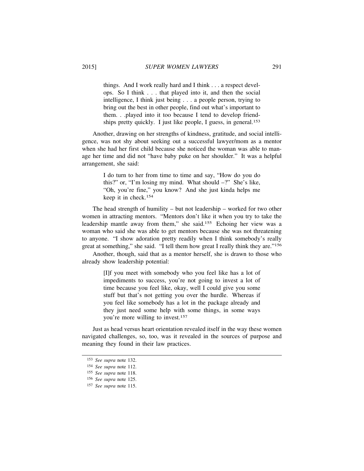things. And I work really hard and I think . . . a respect develops. So I think . . . that played into it, and then the social intelligence, I think just being . . . a people person, trying to bring out the best in other people, find out what's important to them. . .played into it too because I tend to develop friendships pretty quickly. I just like people, I guess, in general.<sup>153</sup>

Another, drawing on her strengths of kindness, gratitude, and social intelligence, was not shy about seeking out a successful lawyer/mom as a mentor when she had her first child because she noticed the woman was able to manage her time and did not "have baby puke on her shoulder." It was a helpful arrangement, she said:

> I do turn to her from time to time and say, "How do you do this?" or, "I'm losing my mind. What should –?" She's like, "Oh, you're fine," you know? And she just kinda helps me keep it in check.154

The head strength of humility – but not leadership – worked for two other women in attracting mentors. "Mentors don't like it when you try to take the leadership mantle away from them," she said.155 Echoing her view was a woman who said she was able to get mentors because she was not threatening to anyone. "I show adoration pretty readily when I think somebody's really great at something," she said. "I tell them how great I really think they are."156

Another, though, said that as a mentor herself, she is drawn to those who already show leadership potential:

> [I]f you meet with somebody who you feel like has a lot of impediments to success, you're not going to invest a lot of time because you feel like, okay, well I could give you some stuff but that's not getting you over the hurdle. Whereas if you feel like somebody has a lot in the package already and they just need some help with some things, in some ways you're more willing to invest.157

Just as head versus heart orientation revealed itself in the way these women navigated challenges, so, too, was it revealed in the sources of purpose and meaning they found in their law practices.

<sup>153</sup> *See supra* note 132.

<sup>154</sup> *See supra* note 112.

<sup>155</sup> *See supra* note 118.

<sup>156</sup> *See supra* note 125.

<sup>157</sup> *See supra* note 115.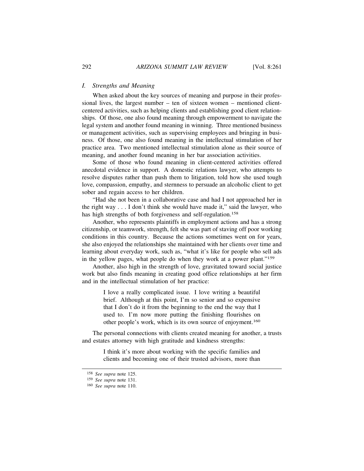# *I. Strengths and Meaning*

When asked about the key sources of meaning and purpose in their professional lives, the largest number – ten of sixteen women – mentioned clientcentered activities, such as helping clients and establishing good client relationships. Of those, one also found meaning through empowerment to navigate the legal system and another found meaning in winning. Three mentioned business or management activities, such as supervising employees and bringing in business. Of those, one also found meaning in the intellectual stimulation of her practice area. Two mentioned intellectual stimulation alone as their source of meaning, and another found meaning in her bar association activities.

Some of those who found meaning in client-centered activities offered anecdotal evidence in support. A domestic relations lawyer, who attempts to resolve disputes rather than push them to litigation, told how she used tough love, compassion, empathy, and sternness to persuade an alcoholic client to get sober and regain access to her children.

"Had she not been in a collaborative case and had I not approached her in the right way . . . I don't think she would have made it," said the lawyer, who has high strengths of both forgiveness and self-regulation.<sup>158</sup>

Another, who represents plaintiffs in employment actions and has a strong citizenship, or teamwork, strength, felt she was part of staving off poor working conditions in this country. Because the actions sometimes went on for years, she also enjoyed the relationships she maintained with her clients over time and learning about everyday work, such as, "what it's like for people who sell ads in the yellow pages, what people do when they work at a power plant."159

Another, also high in the strength of love, gravitated toward social justice work but also finds meaning in creating good office relationships at her firm and in the intellectual stimulation of her practice:

> I love a really complicated issue. I love writing a beautiful brief. Although at this point, I'm so senior and so expensive that I don't do it from the beginning to the end the way that I used to. I'm now more putting the finishing flourishes on other people's work, which is its own source of enjoyment.160

The personal connections with clients created meaning for another, a trusts and estates attorney with high gratitude and kindness strengths:

> I think it's more about working with the specific families and clients and becoming one of their trusted advisors, more than

<sup>158</sup> *See supra* note 125.

<sup>159</sup> *See supra* note 131.

<sup>160</sup> *See supra* note 110.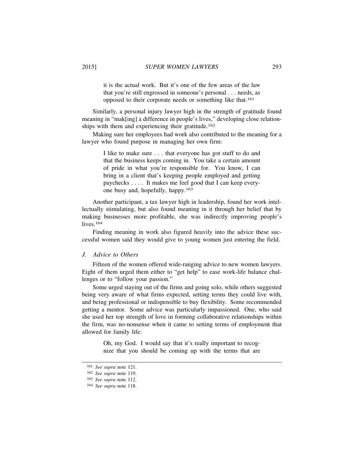it is the actual work. But it's one of the few areas of the law that you're still engrossed in someone's personal . . . needs, as opposed to their corporate needs or something like that.161

Similarly, a personal injury lawyer high in the strength of gratitude found meaning in "mak[ing] a difference in people's lives," developing close relationships with them and experiencing their gratitude.<sup>162</sup>

Making sure her employees had work also contributed to the meaning for a lawyer who found purpose in managing her own firm:

> I like to make sure . . . that everyone has got stuff to do and that the business keeps coming in. You take a certain amount of pride in what you're responsible for. You know, I can bring in a client that's keeping people employed and getting paychecks . . . . It makes me feel good that I can keep everyone busy and, hopefully, happy.163

Another participant, a tax lawyer high in leadership, found her work intellectually stimulating, but also found meaning in it through her belief that by making businesses more profitable, she was indirectly improving people's lives.<sup>164</sup>

Finding meaning in work also figured heavily into the advice these successful women said they would give to young women just entering the field.

# *J. Advice to Others*

Fifteen of the women offered wide-ranging advice to new women lawyers. Eight of them urged them either to "get help" to ease work-life balance challenges or to "follow your passion."

Some urged staying out of the firms and going solo, while others suggested being very aware of what firms expected, setting terms they could live with, and being professional or indispensible to buy flexibility. Some recommended getting a mentor. Some advice was particularly impassioned. One, who said she used her top strength of love in forming collaborative relationships within the firm, was no-nonsense when it came to setting terms of employment that allowed for family life:

> Oh, my God. I would say that it's really important to recognize that you should be coming up with the terms that are

<sup>161</sup> *See supra* note 121.

<sup>162</sup> *See supra* note 119.

<sup>163</sup> *See supra* note 112.

<sup>164</sup> *See supra* note 118.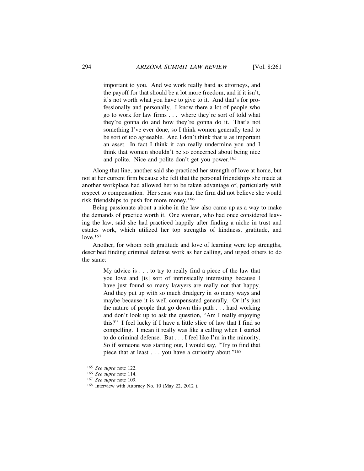important to you. And we work really hard as attorneys, and the payoff for that should be a lot more freedom, and if it isn't, it's not worth what you have to give to it. And that's for professionally and personally. I know there a lot of people who go to work for law firms . . . where they're sort of told what they're gonna do and how they're gonna do it. That's not something I've ever done, so I think women generally tend to be sort of too agreeable. And I don't think that is as important an asset. In fact I think it can really undermine you and I think that women shouldn't be so concerned about being nice and polite. Nice and polite don't get you power.165

Along that line, another said she practiced her strength of love at home, but not at her current firm because she felt that the personal friendships she made at another workplace had allowed her to be taken advantage of, particularly with respect to compensation. Her sense was that the firm did not believe she would risk friendships to push for more money.166

Being passionate about a niche in the law also came up as a way to make the demands of practice worth it. One woman, who had once considered leaving the law, said she had practiced happily after finding a niche in trust and estates work, which utilized her top strengths of kindness, gratitude, and love.167

Another, for whom both gratitude and love of learning were top strengths, described finding criminal defense work as her calling, and urged others to do the same:

> My advice is . . . to try to really find a piece of the law that you love and [is] sort of intrinsically interesting because I have just found so many lawyers are really not that happy. And they put up with so much drudgery in so many ways and maybe because it is well compensated generally. Or it's just the nature of people that go down this path . . . hard working and don't look up to ask the question, "Am I really enjoying this?" I feel lucky if I have a little slice of law that I find so compelling. I mean it really was like a calling when I started to do criminal defense. But . . . I feel like I'm in the minority. So if someone was starting out, I would say, "Try to find that piece that at least . . . you have a curiosity about."168

<sup>165</sup> *See supra* note 122.

<sup>166</sup> *See supra* note 114.

<sup>167</sup> *See supra* note 109.

<sup>168</sup> Interview with Attorney No. 10 (May 22, 2012 ).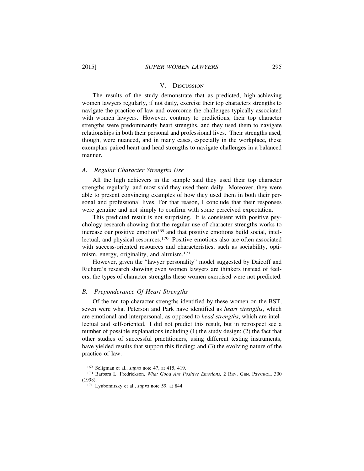#### V. DISCUSSION

The results of the study demonstrate that as predicted, high-achieving women lawyers regularly, if not daily, exercise their top characters strengths to navigate the practice of law and overcome the challenges typically associated with women lawyers. However, contrary to predictions, their top character strengths were predominantly heart strengths, and they used them to navigate relationships in both their personal and professional lives. Their strengths used, though, were nuanced, and in many cases, especially in the workplace, these exemplars paired heart and head strengths to navigate challenges in a balanced manner.

# *A. Regular Character Strengths Use*

All the high achievers in the sample said they used their top character strengths regularly, and most said they used them daily. Moreover, they were able to present convincing examples of how they used them in both their personal and professional lives. For that reason, I conclude that their responses were genuine and not simply to confirm with some perceived expectation.

This predicted result is not surprising. It is consistent with positive psychology research showing that the regular use of character strengths works to  $i$  increase our positive emotion<sup>169</sup> and that positive emotions build social, intellectual, and physical resources.170 Positive emotions also are often associated with success-oriented resources and characteristics, such as sociability, optimism, energy, originality, and altruism.171

However, given the "lawyer personality" model suggested by Daicoff and Richard's research showing even women lawyers are thinkers instead of feelers, the types of character strengths these women exercised were not predicted.

## *B. Preponderance Of Heart Strengths*

Of the ten top character strengths identified by these women on the BST, seven were what Peterson and Park have identified as *heart strengths*, which are emotional and interpersonal, as opposed to *head strengths*, which are intellectual and self-oriented. I did not predict this result, but in retrospect see a number of possible explanations including (1) the study design; (2) the fact that other studies of successful practitioners, using different testing instruments, have yielded results that support this finding; and (3) the evolving nature of the practice of law.

<sup>169</sup> Seligman et al., *supra* note 47, at 415, 419.

<sup>170</sup> Barbara L. Fredrickson, *What Good Are Positive Emotions,* 2 REV. GEN. PSYCHOL. 300 (1998).

<sup>171</sup> Lyubomirsky et al., *supra* note 59, at 844.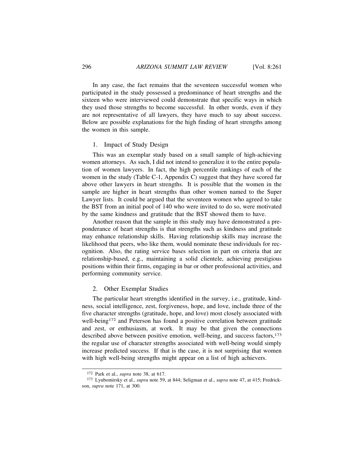In any case, the fact remains that the seventeen successful women who participated in the study possessed a predominance of heart strengths and the sixteen who were interviewed could demonstrate that specific ways in which they used those strengths to become successful. In other words, even if they are not representative of all lawyers, they have much to say about success. Below are possible explanations for the high finding of heart strengths among the women in this sample.

# 1. Impact of Study Design

This was an exemplar study based on a small sample of high-achieving women attorneys. As such, I did not intend to generalize it to the entire population of women lawyers. In fact, the high percentile rankings of each of the women in the study (Table C-1, Appendix C) suggest that they have scored far above other lawyers in heart strengths. It is possible that the women in the sample are higher in heart strengths than other women named to the Super Lawyer lists. It could be argued that the seventeen women who agreed to take the BST from an initial pool of 140 who were invited to do so, were motivated by the same kindness and gratitude that the BST showed them to have.

Another reason that the sample in this study may have demonstrated a preponderance of heart strengths is that strengths such as kindness and gratitude may enhance relationship skills. Having relationship skills may increase the likelihood that peers, who like them, would nominate these individuals for recognition. Also, the rating service bases selection in part on criteria that are relationship-based, e.g., maintaining a solid clientele, achieving prestigious positions within their firms, engaging in bar or other professional activities, and performing community service.

#### 2. Other Exemplar Studies

The particular heart strengths identified in the survey, i.e., gratitude, kindness, social intelligence, zest, forgiveness, hope, and love, include three of the five character strengths (gratitude, hope, and love) most closely associated with well-being<sup>172</sup> and Peterson has found a positive correlation between gratitude and zest, or enthusiasm, at work. It may be that given the connections described above between positive emotion, well-being, and success factors,173 the regular use of character strengths associated with well-being would simply increase predicted success. If that is the case, it is not surprising that women with high well-being strengths might appear on a list of high achievers.

<sup>172</sup> Park et al., *supra* note 38, at 617.

<sup>173</sup> Lyubomirsky et al., *supra* note 59, at 844; Seligman et al., *supra* note 47, at 415; Fredrickson, *supra* note 171, at 300.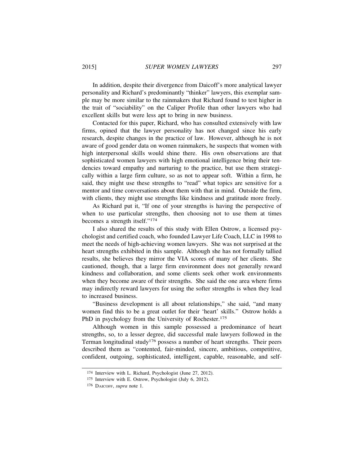In addition, despite their divergence from Daicoff's more analytical lawyer personality and Richard's predominantly "thinker" lawyers, this exemplar sample may be more similar to the rainmakers that Richard found to test higher in the trait of "sociability" on the Caliper Profile than other lawyers who had excellent skills but were less apt to bring in new business.

Contacted for this paper, Richard, who has consulted extensively with law firms, opined that the lawyer personality has not changed since his early research, despite changes in the practice of law. However, although he is not aware of good gender data on women rainmakers, he suspects that women with high interpersonal skills would shine there. His own observations are that sophisticated women lawyers with high emotional intelligence bring their tendencies toward empathy and nurturing to the practice, but use them strategically within a large firm culture, so as not to appear soft. Within a firm, he said, they might use these strengths to "read" what topics are sensitive for a mentor and time conversations about them with that in mind. Outside the firm, with clients, they might use strengths like kindness and gratitude more freely.

As Richard put it, "If one of your strengths is having the perspective of when to use particular strengths, then choosing not to use them at times becomes a strength itself."174

I also shared the results of this study with Ellen Ostrow, a licensed psychologist and certified coach, who founded Lawyer Life Coach, LLC in 1998 to meet the needs of high-achieving women lawyers. She was not surprised at the heart strengths exhibited in this sample. Although she has not formally tallied results, she believes they mirror the VIA scores of many of her clients. She cautioned, though, that a large firm environment does not generally reward kindness and collaboration, and some clients seek other work environments when they become aware of their strengths. She said the one area where firms may indirectly reward lawyers for using the softer strengths is when they lead to increased business.

"Business development is all about relationships," she said, "and many women find this to be a great outlet for their 'heart' skills." Ostrow holds a PhD in psychology from the University of Rochester.<sup>175</sup>

Although women in this sample possessed a predominance of heart strengths, so, to a lesser degree, did successful male lawyers followed in the Terman longitudinal study<sup>176</sup> possess a number of heart strengths. Their peers described them as "contented, fair-minded, sincere, ambitious, competitive, confident, outgoing, sophisticated, intelligent, capable, reasonable, and self-

<sup>174</sup> Interview with L. Richard, Psychologist (June 27, 2012).

<sup>175</sup> Interview with E. Ostrow, Psychologist (July 6, 2012).

<sup>176</sup> DAICOFF, *supra* note 1.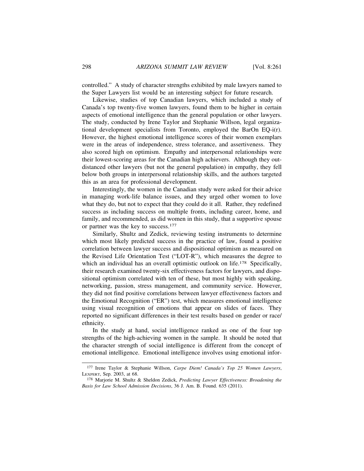controlled." A study of character strengths exhibited by male lawyers named to the Super Lawyers list would be an interesting subject for future research.

Likewise, studies of top Canadian lawyers, which included a study of Canada's top twenty-five women lawyers, found them to be higher in certain aspects of emotional intelligence than the general population or other lawyers. The study, conducted by Irene Taylor and Stephanie Willson, legal organizational development specialists from Toronto, employed the BarOn EQ-i(r). However, the highest emotional intelligence scores of their women exemplars were in the areas of independence, stress tolerance, and assertiveness. They also scored high on optimism. Empathy and interpersonal relationships were their lowest-scoring areas for the Canadian high achievers. Although they outdistanced other lawyers (but not the general population) in empathy, they fell below both groups in interpersonal relationship skills, and the authors targeted this as an area for professional development.

Interestingly, the women in the Canadian study were asked for their advice in managing work-life balance issues, and they urged other women to love what they do, but not to expect that they could do it all. Rather, they redefined success as including success on multiple fronts, including career, home, and family, and recommended, as did women in this study, that a supportive spouse or partner was the key to success.177

Similarly, Shultz and Zedick, reviewing testing instruments to determine which most likely predicted success in the practice of law, found a positive correlation between lawyer success and dispositional optimism as measured on the Revised Life Orientation Test ("LOT-R"), which measures the degree to which an individual has an overall optimistic outlook on life.<sup>178</sup> Specifically, their research examined twenty-six effectiveness factors for lawyers, and dispositional optimism correlated with ten of these, but most highly with speaking, networking, passion, stress management, and community service. However, they did not find positive correlations between lawyer effectiveness factors and the Emotional Recognition ("ER") test, which measures emotional intelligence using visual recognition of emotions that appear on slides of faces. They reported no significant differences in their test results based on gender or race/ ethnicity.

In the study at hand, social intelligence ranked as one of the four top strengths of the high-achieving women in the sample. It should be noted that the character strength of social intelligence is different from the concept of emotional intelligence. Emotional intelligence involves using emotional infor-

<sup>177</sup> Irene Taylor & Stephanie Willson, *Carpe Diem! Canada's Top 25 Women Lawyers*, LEXPERT, Sep. 2003, at 68.

<sup>178</sup> Marjorie M. Shultz & Sheldon Zedick, *Predicting Lawyer Effectiveness: Broadening the Basis for Law School Admission Decisions*, 36 J. Am. B. Found. 635 (2011).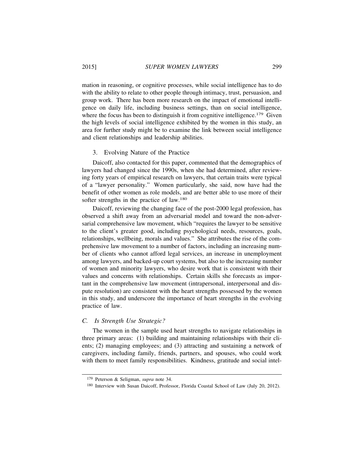mation in reasoning, or cognitive processes, while social intelligence has to do with the ability to relate to other people through intimacy, trust, persuasion, and group work. There has been more research on the impact of emotional intelligence on daily life, including business settings, than on social intelligence, where the focus has been to distinguish it from cognitive intelligence.<sup>179</sup> Given the high levels of social intelligence exhibited by the women in this study, an area for further study might be to examine the link between social intelligence and client relationships and leadership abilities.

#### 3. Evolving Nature of the Practice

Daicoff, also contacted for this paper, commented that the demographics of lawyers had changed since the 1990s, when she had determined, after reviewing forty years of empirical research on lawyers, that certain traits were typical of a "lawyer personality." Women particularly, she said, now have had the benefit of other women as role models, and are better able to use more of their softer strengths in the practice of law.180

Daicoff, reviewing the changing face of the post-2000 legal profession, has observed a shift away from an adversarial model and toward the non-adversarial comprehensive law movement, which "requires the lawyer to be sensitive to the client's greater good, including psychological needs, resources, goals, relationships, wellbeing, morals and values." She attributes the rise of the comprehensive law movement to a number of factors, including an increasing number of clients who cannot afford legal services, an increase in unemployment among lawyers, and backed-up court systems, but also to the increasing number of women and minority lawyers, who desire work that is consistent with their values and concerns with relationships. Certain skills she forecasts as important in the comprehensive law movement (intrapersonal, interpersonal and dispute resolution) are consistent with the heart strengths possessed by the women in this study, and underscore the importance of heart strengths in the evolving practice of law.

# *C. Is Strength Use Strategic?*

The women in the sample used heart strengths to navigate relationships in three primary areas: (1) building and maintaining relationships with their clients; (2) managing employees; and (3) attracting and sustaining a network of caregivers, including family, friends, partners, and spouses, who could work with them to meet family responsibilities. Kindness, gratitude and social intel-

<sup>179</sup> Peterson & Seligman, *supra* note 34.

<sup>180</sup> Interview with Susan Daicoff, Professor, Florida Coastal School of Law (July 20, 2012).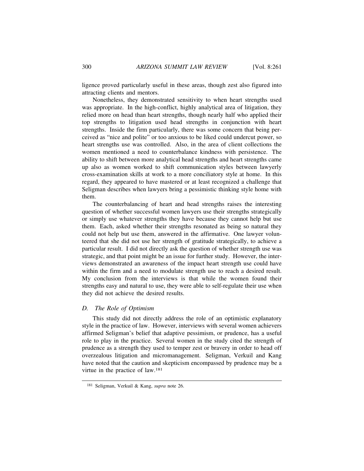ligence proved particularly useful in these areas, though zest also figured into attracting clients and mentors.

Nonetheless, they demonstrated sensitivity to when heart strengths used was appropriate. In the high-conflict, highly analytical area of litigation, they relied more on head than heart strengths, though nearly half who applied their top strengths to litigation used head strengths in conjunction with heart strengths. Inside the firm particularly, there was some concern that being perceived as "nice and polite" or too anxious to be liked could undercut power, so heart strengths use was controlled. Also, in the area of client collections the women mentioned a need to counterbalance kindness with persistence. The ability to shift between more analytical head strengths and heart strengths came up also as women worked to shift communication styles between lawyerly cross-examination skills at work to a more conciliatory style at home. In this regard, they appeared to have mastered or at least recognized a challenge that Seligman describes when lawyers bring a pessimistic thinking style home with them.

The counterbalancing of heart and head strengths raises the interesting question of whether successful women lawyers use their strengths strategically or simply use whatever strengths they have because they cannot help but use them. Each, asked whether their strengths resonated as being so natural they could not help but use them, answered in the affirmative. One lawyer volunteered that she did not use her strength of gratitude strategically, to achieve a particular result. I did not directly ask the question of whether strength use was strategic, and that point might be an issue for further study. However, the interviews demonstrated an awareness of the impact heart strength use could have within the firm and a need to modulate strength use to reach a desired result. My conclusion from the interviews is that while the women found their strengths easy and natural to use, they were able to self-regulate their use when they did not achieve the desired results.

# *D. The Role of Optimism*

This study did not directly address the role of an optimistic explanatory style in the practice of law. However, interviews with several women achievers affirmed Seligman's belief that adaptive pessimism, or prudence, has a useful role to play in the practice. Several women in the study cited the strength of prudence as a strength they used to temper zest or bravery in order to head off overzealous litigation and micromanagement. Seligman, Verkuil and Kang have noted that the caution and skepticism encompassed by prudence may be a virtue in the practice of law.181

<sup>181</sup> Seligman, Verkuil & Kang, *supra* note 26.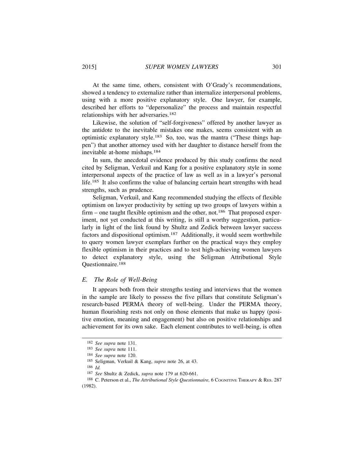At the same time, others, consistent with O'Grady's recommendations, showed a tendency to externalize rather than internalize interpersonal problems, using with a more positive explanatory style. One lawyer, for example, described her efforts to "depersonalize" the process and maintain respectful relationships with her adversaries.182

Likewise, the solution of "self-forgiveness" offered by another lawyer as the antidote to the inevitable mistakes one makes, seems consistent with an optimistic explanatory style.183 So, too, was the mantra ("These things happen") that another attorney used with her daughter to distance herself from the inevitable at-home mishaps.184

In sum, the anecdotal evidence produced by this study confirms the need cited by Seligman, Verkuil and Kang for a positive explanatory style in some interpersonal aspects of the practice of law as well as in a lawyer's personal life.185 It also confirms the value of balancing certain heart strengths with head strengths, such as prudence.

Seligman, Verkuil, and Kang recommended studying the effects of flexible optimism on lawyer productivity by setting up two groups of lawyers within a firm – one taught flexible optimism and the other, not.<sup>186</sup> That proposed experiment, not yet conducted at this writing, is still a worthy suggestion, particularly in light of the link found by Shultz and Zedick between lawyer success factors and dispositional optimism.187 Additionally, it would seem worthwhile to query women lawyer exemplars further on the practical ways they employ flexible optimism in their practices and to test high-achieving women lawyers to detect explanatory style, using the Seligman Attributional Style Questionnaire.188

#### *E. The Role of Well-Being*

It appears both from their strengths testing and interviews that the women in the sample are likely to possess the five pillars that constitute Seligman's research-based PERMA theory of well-being. Under the PERMA theory, human flourishing rests not only on those elements that make us happy (positive emotion, meaning and engagement) but also on positive relationships and achievement for its own sake. Each element contributes to well-being, is often

<sup>182</sup> *See supra* note 131.

<sup>183</sup> *See supra* note 111.

<sup>184</sup> *See supra* note 120.

<sup>185</sup> Seligman, Verkuil & Kang, *supra* note 26, at 43.

<sup>186</sup> *Id.*

<sup>187</sup> *See* Shultz & Zedick, *supra* note 179 at 620-661.

<sup>188</sup> C. Peterson et al., *The Attributional Style Questionnaire*, 6 COGNITIVE THERAPY & RES. 287 (1982).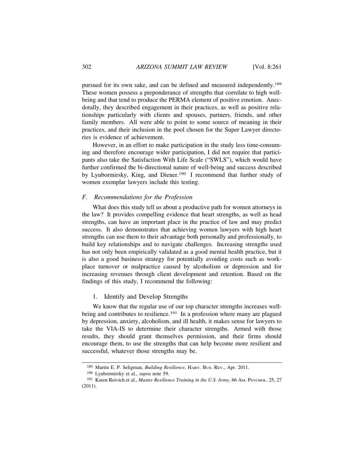pursued for its own sake, and can be defined and measured independently.189 These women possess a preponderance of strengths that correlate to high wellbeing and that tend to produce the PERMA element of positive emotion. Anecdotally, they described engagement in their practices, as well as positive relationships particularly with clients and spouses, partners, friends, and other family members. All were able to point to some source of meaning in their practices, and their inclusion in the pool chosen for the Super Lawyer directories is evidence of achievement.

However, in an effort to make participation in the study less time-consuming and therefore encourage wider participation, I did not require that participants also take the Satisfaction With Life Scale ("SWLS"), which would have further confirmed the bi-directional nature of well-being and success described by Lyubormirsky, King, and Diener.190 I recommend that further study of women exemplar lawyers include this testing.

# *F. Recommendations for the Profession*

What does this study tell us about a productive path for women attorneys in the law? It provides compelling evidence that heart strengths, as well as head strengths, can have an important place in the practice of law and may predict success. It also demonstrates that achieving women lawyers with high heart strengths can use them to their advantage both personally and professionally, to build key relationships and to navigate challenges. Increasing strengths used has not only been empirically validated as a good mental health practice, but it is also a good business strategy for potentially avoiding costs such as workplace turnover or malpractice caused by alcoholism or depression and for increasing revenues through client development and retention. Based on the findings of this study, I recommend the following:

#### 1. Identify and Develop Strengths

We know that the regular use of our top character strengths increases wellbeing and contributes to resilience.<sup>191</sup> In a profession where many are plagued by depression, anxiety, alcoholism, and ill health, it makes sense for lawyers to take the VIA-IS to determine their character strengths. Armed with those results, they should grant themselves permission, and their firms should encourage them, to use the strengths that can help become more resilient and successful, whatever those strengths may be.

<sup>189</sup> Martin E. P. Seligman, *Building Resilience*, HARV. BUS. REV., Apr. 2011.

<sup>190</sup> Lyubormirsky et al., *supra* note 59.

<sup>191</sup> Karen Reivich et al., *Master Resilience Training in the U.S. Army*, 66 Am. Psychol. 25, 27 (2011).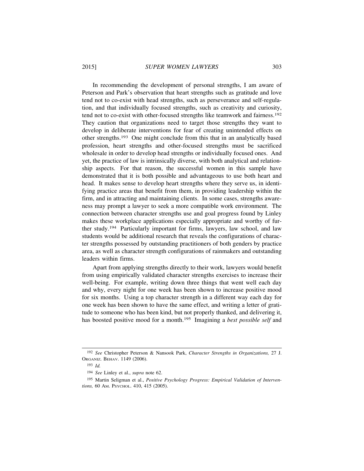In recommending the development of personal strengths, I am aware of Peterson and Park's observation that heart strengths such as gratitude and love tend not to co-exist with head strengths, such as perseverance and self-regulation, and that individually focused strengths, such as creativity and curiosity, tend not to co-exist with other-focused strengths like teamwork and fairness.192 They caution that organizations need to target those strengths they want to develop in deliberate interventions for fear of creating unintended effects on other strengths.193 One might conclude from this that in an analytically based profession, heart strengths and other-focused strengths must be sacrificed wholesale in order to develop head strengths or individually focused ones. And yet, the practice of law is intrinsically diverse, with both analytical and relationship aspects. For that reason, the successful women in this sample have demonstrated that it is both possible and advantageous to use both heart and head. It makes sense to develop heart strengths where they serve us, in identifying practice areas that benefit from them, in providing leadership within the firm, and in attracting and maintaining clients. In some cases, strengths awareness may prompt a lawyer to seek a more compatible work environment. The connection between character strengths use and goal progress found by Linley makes these workplace applications especially appropriate and worthy of further study.194 Particularly important for firms, lawyers, law school, and law students would be additional research that reveals the configurations of character strengths possessed by outstanding practitioners of both genders by practice area, as well as character strength configurations of rainmakers and outstanding leaders within firms.

Apart from applying strengths directly to their work, lawyers would benefit from using empirically validated character strengths exercises to increase their well-being. For example, writing down three things that went well each day and why, every night for one week has been shown to increase positive mood for six months. Using a top character strength in a different way each day for one week has been shown to have the same effect, and writing a letter of gratitude to someone who has been kind, but not properly thanked, and delivering it, has boosted positive mood for a month.195 Imagining a *best possible self* and

<sup>192</sup> *See* Christopher Peterson & Nansook Park, *Character Strengths in Organizations,* 27 J. ORGANIZ. BEHAV. 1149 (2006).

<sup>193</sup> *Id.*

<sup>194</sup> *See* Linley et al., *supra* note 62.

<sup>195</sup> Martin Seligman et al., *Positive Psychology Progress: Empirical Validation of Interventions,* 60 AM. PSYCHOL. 410, 415 (2005).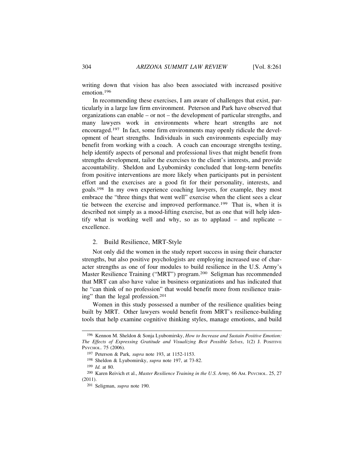writing down that vision has also been associated with increased positive emotion.196

In recommending these exercises, I am aware of challenges that exist, particularly in a large law firm environment. Peterson and Park have observed that organizations can enable – or not – the development of particular strengths, and many lawyers work in environments where heart strengths are not encouraged.197 In fact, some firm environments may openly ridicule the development of heart strengths. Individuals in such environments especially may benefit from working with a coach. A coach can encourage strengths testing, help identify aspects of personal and professional lives that might benefit from strengths development, tailor the exercises to the client's interests, and provide accountability. Sheldon and Lyubomirsky concluded that long-term benefits from positive interventions are more likely when participants put in persistent effort and the exercises are a good fit for their personality, interests, and goals.198 In my own experience coaching lawyers, for example, they most embrace the "three things that went well" exercise when the client sees a clear tie between the exercise and improved performance.199 That is, when it is described not simply as a mood-lifting exercise, but as one that will help identify what is working well and why, so as to applaud – and replicate – excellence.

# 2. Build Resilience, MRT-Style

Not only did the women in the study report success in using their character strengths, but also positive psychologists are employing increased use of character strengths as one of four modules to build resilience in the U.S. Army's Master Resilience Training ("MRT") program.200 Seligman has recommended that MRT can also have value in business organizations and has indicated that he "can think of no profession" that would benefit more from resilience training" than the legal profession.201

Women in this study possessed a number of the resilience qualities being built by MRT. Other lawyers would benefit from MRT's resilience-building tools that help examine cognitive thinking styles, manage emotions, and build

<sup>196</sup> Kennon M. Sheldon & Sonja Lyubomirsky, *How to Increase and Sustain Positive Emotion: The Effects of Expressing Gratitude and Visualizing Best Possible Selves*, 1(2) J. POSITIVE PSYCHOL. 75 (2006).

<sup>197</sup> Peterson & Park*, supra* note 193, at 1152-1153.

<sup>198</sup> Sheldon & Lyubomirsky, *supra* note 197, at 73-82.

<sup>199</sup> *Id.* at 80.

<sup>200</sup> Karen Reivich et al., *Master Resilience Training in the U.S. Army,* 66 AM. PSYCHOL. 25, 27 (2011).

<sup>201</sup> Seligman, *supra* note 190.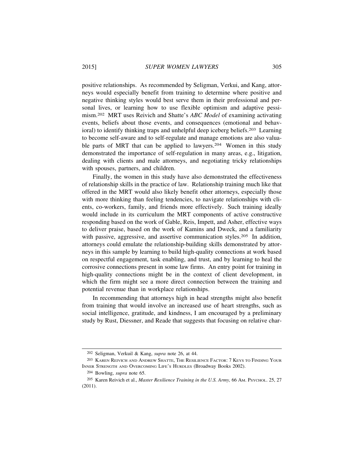positive relationships. As recommended by Seligman, Verkui, and Kang, attorneys would especially benefit from training to determine where positive and negative thinking styles would best serve them in their professional and personal lives, or learning how to use flexible optimism and adaptive pessimism.202 MRT uses Reivich and Shatte's *ABC Model* of examining activating events, beliefs about those events, and consequences (emotional and behavioral) to identify thinking traps and unhelpful deep iceberg beliefs.203 Learning to become self-aware and to self-regulate and manage emotions are also valuable parts of MRT that can be applied to lawyers.<sup>204</sup> Women in this study demonstrated the importance of self-regulation in many areas, e.g., litigation, dealing with clients and male attorneys, and negotiating tricky relationships with spouses, partners, and children.

Finally, the women in this study have also demonstrated the effectiveness of relationship skills in the practice of law. Relationship training much like that offered in the MRT would also likely benefit other attorneys, especially those with more thinking than feeling tendencies, to navigate relationships with clients, co-workers, family, and friends more effectively. Such training ideally would include in its curriculum the MRT components of active constructive responding based on the work of Gable, Reis, Impett, and Asher, effective ways to deliver praise, based on the work of Kamins and Dweck, and a familiarity with passive, aggressive, and assertive communication styles.<sup>205</sup> In addition, attorneys could emulate the relationship-building skills demonstrated by attorneys in this sample by learning to build high-quality connections at work based on respectful engagement, task enabling, and trust, and by learning to heal the corrosive connections present in some law firms. An entry point for training in high-quality connections might be in the context of client development, in which the firm might see a more direct connection between the training and potential revenue than in workplace relationships.

In recommending that attorneys high in head strengths might also benefit from training that would involve an increased use of heart strengths, such as social intelligence, gratitude, and kindness, I am encouraged by a preliminary study by Rust, Diessner, and Reade that suggests that focusing on relative char-

<sup>202</sup> Seligman, Verkuil & Kang, *supra* note 26, at 44.

<sup>203</sup> KAREN REIVICH AND ANDREW SHATTE, THE RESILIENCE FACTOR: 7 KEYS TO FINDING YOUR INNER STRENGTH AND OVERCOMING LIFE'S HURDLES (Broadway Books 2002).

<sup>204</sup> Bowling, *supra* note 65.

<sup>&</sup>lt;sup>205</sup> Karen Reivich et al., *Master Resilience Training in the U.S. Army*, 66 Am. Psychol. 25, 27 (2011).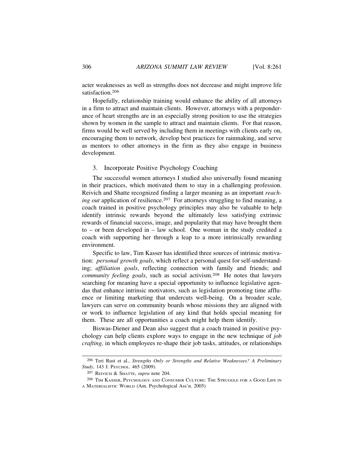acter weaknesses as well as strengths does not decrease and might improve life satisfaction.<sup>206</sup>

Hopefully, relationship training would enhance the ability of all attorneys in a firm to attract and maintain clients. However, attorneys with a preponderance of heart strengths are in an especially strong position to use the strategies shown by women in the sample to attract and maintain clients. For that reason, firms would be well served by including them in meetings with clients early on, encouraging them to network, develop best practices for rainmaking, and serve as mentors to other attorneys in the firm as they also engage in business development.

# 3. Incorporate Positive Psychology Coaching

The successful women attorneys I studied also universally found meaning in their practices, which motivated them to stay in a challenging profession. Reivich and Shatte recognized finding a larger meaning as an important *reaching out* application of resilience.<sup>207</sup> For attorneys struggling to find meaning, a coach trained in positive psychology principles may also be valuable to help identify intrinsic rewards beyond the ultimately less satisfying extrinsic rewards of financial success, image, and popularity that may have brought them to – or been developed in – law school. One woman in the study credited a coach with supporting her through a leap to a more intrinsically rewarding environment.

Specific to law, Tim Kasser has identified three sources of intrinsic motivation: *personal growth goals*, which reflect a personal quest for self-understanding; *affiliation goals*, reflecting connection with family and friends; and *community feeling goals*, such as social activism.208 He notes that lawyers searching for meaning have a special opportunity to influence legislative agendas that enhance intrinsic motivators, such as legislation promoting time affluence or limiting marketing that undercuts well-being. On a broader scale, lawyers can serve on community boards whose missions they are aligned with or work to influence legislation of any kind that holds special meaning for them. These are all opportunities a coach might help them identify.

Biswas-Diener and Dean also suggest that a coach trained in positive psychology can help clients explore ways to engage in the new technique of *job crafting,* in which employees re-shape their job tasks, attitudes, or relationships

<sup>206</sup> Teri Rust et al., *Strengths Only or Strengths and Relative Weaknesses? A Preliminary Study,* 143 J. PSYCHOL. 465 (2009).

<sup>207</sup> REIVICH & SHATTE, *supra* note 204.

<sup>208</sup> TIM KASSER, PSYCHOLOGY AND CONSUMER CULTURE: THE STRUGGLE FOR A GOOD LIFE IN A MATERIALISTIC WORLD (Am. Psychological Ass'n. 2005)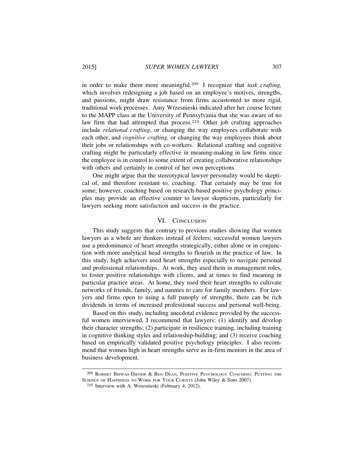in order to make them more meaningful.209 I recognize that *task crafting,* which involves redesigning a job based on an employee's motives, strengths, and passions, might draw resistance from firms accustomed to more rigid, traditional work processes. Amy Wrzesnieski indicated after her course lecture to the MAPP class at the University of Pennsylvania that she was aware of no law firm that had attempted that process.<sup>210</sup> Other job crafting approaches include *relational crafting*, or changing the way employees collaborate with each other, and *cognitive crafting,* or changing the way employees think about their jobs or relationships with co-workers. Relational crafting and cognitive crafting might be particularly effective in meaning-making in law firms since the employee is in control to some extent of creating collaborative relationships with others and certainly in control of her own perceptions.

One might argue that the stereotypical lawyer personality would be skeptical of, and therefore resistant to, coaching. That certainly may be true for some; however, coaching based on research-based positive psychology principles may provide an effective counter to lawyer skepticism, particularly for lawyers seeking more satisfaction and success in the practice.

# VI. CONCLUSION

This study suggests that contrary to previous studies showing that women lawyers as a whole are thinkers instead of feelers; successful women lawyers use a predominance of heart strengths strategically, either alone or in conjunction with more analytical head strengths to flourish in the practice of law. In this study, high achievers used heart strengths especially to navigate personal and professional relationships. At work, they used them in management roles, to foster positive relationships with clients, and at times to find meaning in particular practice areas. At home, they used their heart strengths to cultivate networks of friends, family, and nannies to care for family members. For lawyers and firms open to using a full panoply of strengths, there can be rich dividends in terms of increased professional success and personal well-being.

Based on this study, including anecdotal evidence provided by the successful women interviewed, I recommend that lawyers: (1) identify and develop their character strengths; (2) participate in resilience training, including training in cognitive thinking styles and relationship-building; and (3) receive coaching based on empirically validated positive psychology principles. I also recommend that women high in heart strengths serve as in-firm mentors in the area of business development.

<sup>209</sup> ROBERT BISWAS-DIENER & BEN DEAN, POSITIVE PSYCHOLOGY COACHING: PUTTING THE SCIENCE OF HAPPINESS TO WORK FOR YOUR CLIENTS (John Wiley & Sons 2007).

<sup>210</sup> Interview with A. Wrzesnieski (February 4, 2012).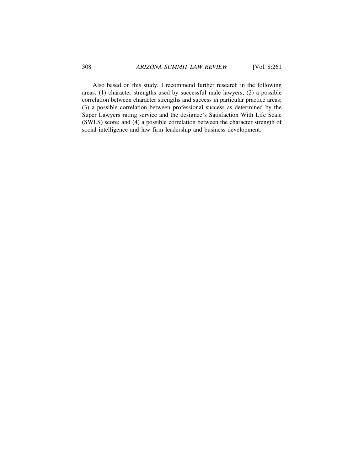Also based on this study, I recommend further research in the following areas: (1) character strengths used by successful male lawyers; (2) a possible correlation between character strengths and success in particular practice areas; (3) a possible correlation between professional success as determined by the Super Lawyers rating service and the designee's Satisfaction With Life Scale (SWLS) score; and (4) a possible correlation between the character strength of social intelligence and law firm leadership and business development.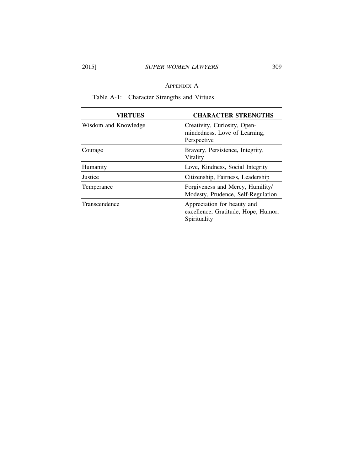# 2015] *SUPER WOMEN LAWYERS* 309

# APPENDIX A

| VIRTUES              | <b>CHARACTER STRENGTHS</b>                                                         |
|----------------------|------------------------------------------------------------------------------------|
| Wisdom and Knowledge | Creativity, Curiosity, Open-<br>mindedness, Love of Learning,<br>Perspective       |
| Courage              | Bravery, Persistence, Integrity,<br>Vitality                                       |
| Humanity             | Love, Kindness, Social Integrity                                                   |
| Justice              | Citizenship, Fairness, Leadership                                                  |
| Temperance           | Forgiveness and Mercy, Humility/<br>Modesty, Prudence, Self-Regulation             |
| Transcendence        | Appreciation for beauty and<br>excellence, Gratitude, Hope, Humor,<br>Spirituality |

Table A-1: Character Strengths and Virtues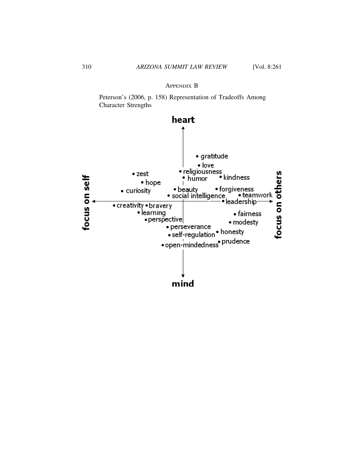# APPENDIX B

Peterson's (2006, p. 158) Representation of Tradeoffs Among Character Strengths

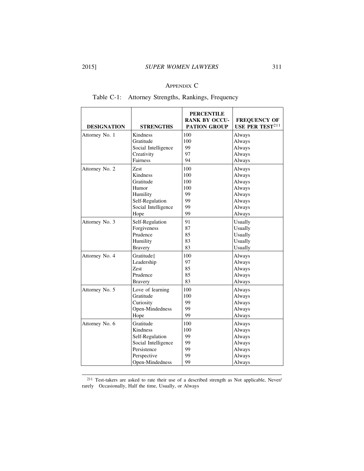# APPENDIX C

# Table C-1: Attorney Strengths, Rankings, Frequency

| <b>DESIGNATION</b> | <b>STRENGTHS</b>    | <b>PERCENTILE</b><br><b>RANK BY OCCU-</b><br><b>PATION GROUP</b> | <b>FREQUENCY OF</b><br>USE PER TEST <sup>211</sup> |
|--------------------|---------------------|------------------------------------------------------------------|----------------------------------------------------|
| Attorney No. 1     | Kindness            | 100                                                              | Always                                             |
|                    | Gratitude           | 100                                                              | Always                                             |
|                    | Social Intelligence | 99                                                               | Always                                             |
|                    | Creativity          | 97                                                               | Always                                             |
|                    | Fairness            | 94                                                               | Always                                             |
| Attorney No. 2     | Zest                | 100                                                              | Always                                             |
|                    | Kindness            | 100                                                              | Always                                             |
|                    | Gratitude           | 100                                                              | Always                                             |
|                    | Humor               | 100                                                              | Always                                             |
|                    | Humility            | 99                                                               | Always                                             |
|                    | Self-Regulation     | 99                                                               | Always                                             |
|                    | Social Intelligence | 99                                                               | Always                                             |
|                    | Hope                | 99                                                               | Always                                             |
| Attorney No. 3     | Self-Regulation     | 91                                                               | Usually                                            |
|                    | Forgiveness         | 87                                                               | Usually                                            |
|                    | Prudence            | 85                                                               | Usually                                            |
|                    | Humility            | 83                                                               | Usually                                            |
|                    | <b>Bravery</b>      | 83                                                               | Usually                                            |
| Attorney No. 4     | Gratitude‡          | 100                                                              | Always                                             |
|                    | Leadership          | 97                                                               | Always                                             |
|                    | Zest                | 85                                                               | Always                                             |
|                    | Prudence            | 85                                                               | Always                                             |
|                    | <b>Bravery</b>      | 83                                                               | Always                                             |
| Attorney No. 5     | Love of learning    | 100                                                              | Always                                             |
|                    | Gratitude           | 100                                                              | Always                                             |
|                    | Curiosity           | 99                                                               | Always                                             |
|                    | Open-Mindedness     | 99                                                               | Always                                             |
|                    | Hope                | 99                                                               | Always                                             |
| Attorney No. 6     | Gratitude           | 100                                                              | Always                                             |
|                    | Kindness            | 100                                                              | Always                                             |
|                    | Self-Regulation     | 99                                                               | Always                                             |
|                    | Social Intelligence | 99                                                               | Always                                             |
|                    | Persistence         | 99                                                               | Always                                             |
|                    | Perspective         | 99                                                               | Always                                             |
|                    | Open-Mindedness     | 99                                                               | Always                                             |

<sup>211</sup> Test-takers are asked to rate their use of a described strength as Not applicable, Never/ rarely Occasionally, Half the time, Usually, or Always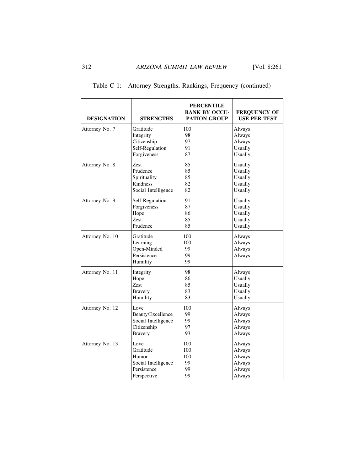| <b>DESIGNATION</b> | <b>STRENGTHS</b>                                                | <b>PERCENTILE</b><br><b>RANK BY OCCU-</b><br><b>PATION GROUP</b> | <b>FREQUENCY OF</b><br><b>USE PER TEST</b> |
|--------------------|-----------------------------------------------------------------|------------------------------------------------------------------|--------------------------------------------|
| Attorney No. 7     | Gratitude                                                       | 100                                                              | Always                                     |
|                    | Integrity                                                       | 98                                                               | Always                                     |
|                    | Citizenship                                                     | 97                                                               | Always                                     |
|                    | Self-Regulation                                                 | 91                                                               | Usually                                    |
|                    | Forgiveness                                                     | 87                                                               | Usually                                    |
| Attorney No. 8     | Zest                                                            | 85                                                               | Usually                                    |
|                    | Prudence                                                        | 85                                                               | Usually                                    |
|                    | Spirituality                                                    | 85                                                               | Usually                                    |
|                    | Kindness                                                        | 82                                                               | Usually                                    |
|                    | Social Intelligence                                             | 82                                                               | Usually                                    |
| Attorney No. 9     | Self-Regulation                                                 | 91                                                               | Usually                                    |
|                    | Forgiveness                                                     | 87                                                               | Usually                                    |
|                    | Hope                                                            | 86                                                               | Usually                                    |
|                    | Zest                                                            | 85                                                               | Usually                                    |
|                    | Prudence                                                        | 85                                                               | Usually                                    |
| Attorney No. 10    | Gratitude<br>Learning<br>Open-Minded<br>Persistence<br>Humility | 100<br>100<br>99<br>99<br>99                                     | Always<br>Always<br>Always<br>Always       |
| Attorney No. 11    | Integrity                                                       | 98                                                               | Always                                     |
|                    | Hope                                                            | 86                                                               | Usually                                    |
|                    | Zest                                                            | 85                                                               | Usually                                    |
|                    | <b>Bravery</b>                                                  | 83                                                               | Usually                                    |
|                    | Humility                                                        | 83                                                               | Usually                                    |
| Attorney No. 12    | Love                                                            | 100                                                              | Always                                     |
|                    | Beauty/Excellence                                               | 99                                                               | Always                                     |
|                    | Social Intelligence                                             | 99                                                               | Always                                     |
|                    | Citizenship                                                     | 97                                                               | Always                                     |
|                    | <b>Bravery</b>                                                  | 93                                                               | Always                                     |
| Attorney No. 13    | Love                                                            | 100                                                              | Always                                     |
|                    | Gratitude                                                       | 100                                                              | Always                                     |
|                    | Humor                                                           | 100                                                              | Always                                     |
|                    | Social Intelligence                                             | 99                                                               | Always                                     |
|                    | Persistence                                                     | 99                                                               | Always                                     |
|                    | Perspective                                                     | 99                                                               | Always                                     |

| Table C-1: Attorney Strengths, Rankings, Frequency (continued) |  |  |  |
|----------------------------------------------------------------|--|--|--|
|                                                                |  |  |  |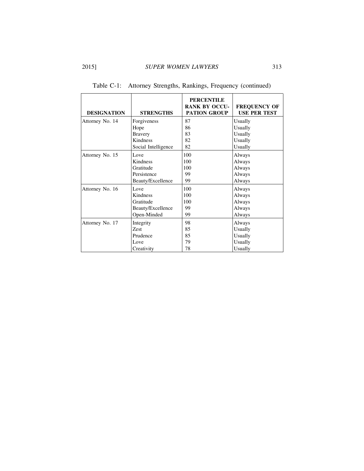| <b>DESIGNATION</b> | <b>STRENGTHS</b>    | <b>PERCENTILE</b><br><b>RANK BY OCCU-</b><br><b>PATION GROUP</b> | <b>FREQUENCY OF</b><br><b>USE PER TEST</b> |
|--------------------|---------------------|------------------------------------------------------------------|--------------------------------------------|
| Attorney No. 14    | Forgiveness         | 87                                                               | Usually                                    |
|                    | Hope                | 86                                                               | Usually                                    |
|                    | <b>Bravery</b>      | 83                                                               | Usually                                    |
|                    | Kindness            | 82                                                               | Usually                                    |
|                    | Social Intelligence | 82                                                               | Usually                                    |
| Attorney No. 15    | Love                | 100                                                              | Always                                     |
|                    | Kindness            | 100                                                              | Always                                     |
|                    | Gratitude           | 100                                                              | Always                                     |
|                    | Persistence         | 99                                                               | Always                                     |
|                    | Beauty/Excellence   | 99                                                               | Always                                     |
| Attorney No. 16    | Love                | 100                                                              | Always                                     |
|                    | Kindness            | 100                                                              | Always                                     |
|                    | Gratitude           | 100                                                              | Always                                     |
|                    | Beauty/Excellence   | 99                                                               | Always                                     |
|                    | Open-Minded         | 99                                                               | Always                                     |
| Attorney No. 17    | Integrity           | 98                                                               | Always                                     |
|                    | Zest                | 85                                                               | Usually                                    |
|                    | Prudence            | 85                                                               | Usually                                    |
|                    | Love                | 79                                                               | Usually                                    |
|                    | Creativity          | 78                                                               | Usually                                    |

Table C-1: Attorney Strengths, Rankings, Frequency (continued)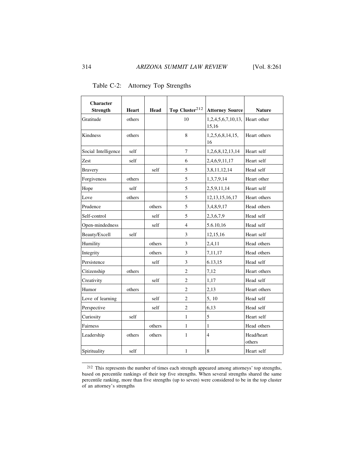| <b>Character</b><br><b>Strength</b> | Heart  | Head   | Top Cluster <sup>212</sup> | <b>Attorney Source</b>      | <b>Nature</b>        |
|-------------------------------------|--------|--------|----------------------------|-----------------------------|----------------------|
| Gratitude                           | others |        | 10                         | 1,2,4,5,6,7,10,13,<br>15,16 | Heart other          |
| Kindness                            | others |        | 8                          | 1,2,5,6,8,14,15,<br>16      | Heart others         |
| Social Intelligence                 | self   |        | 7                          | 1,2,6,8,12,13,14            | Heart self           |
| Zest                                | self   |        | 6                          | 2,4,6,9,11,17               | Heart self           |
| <b>Bravery</b>                      |        | self   | 5                          | 3,8,11,12,14                | Head self            |
| Forgiveness                         | others |        | 5                          | 1,3,7,9,14                  | Heart other          |
| Hope                                | self   |        | 5                          | 2,5,9,11,14                 | Heart self           |
| Love                                | others |        | 5                          | 12, 13, 15, 16, 17          | Heart others         |
| Prudence                            |        | others | 5                          | 3,4,8,9,17                  | Head others          |
| Self-control                        |        | self   | 5                          | 2,3,6,7,9                   | Head self            |
| Open-mindedness                     |        | self   | $\overline{4}$             | 5.6.10,16                   | Head self            |
| Beauty/Excell                       | self   |        | 3                          | 12,15,16                    | Heart self           |
| Humility                            |        | others | 3                          | 2,4,11                      | Head others          |
| Integrity                           |        | others | 3                          | 7,11,17                     | Head others          |
| Persistence                         |        | self   | 3                          | 6.13,15                     | Head self            |
| Citizenship                         | others |        | $\overline{c}$             | 7,12                        | Heart others         |
| Creativity                          |        | self   | $\overline{2}$             | 1,17                        | Head self            |
| Humor                               | others |        | $\overline{2}$             | 2,13                        | Heart others         |
| Love of learning                    |        | self   | $\overline{2}$             | 5, 10                       | Head self            |
| Perspective                         |        | self   | $\overline{c}$             | 6,13                        | Head self            |
| Curiosity                           | self   |        | 1                          | 5                           | Heart self           |
| Fairness                            |        | others | 1                          | 1                           | Head others          |
| Leadership                          | others | others | 1                          | $\overline{4}$              | Head/heart<br>others |
| Spirituality                        | self   |        | 1                          | 8                           | Heart self           |

Table C-2: Attorney Top Strengths

<sup>&</sup>lt;sup>212</sup> This represents the number of times each strength appeared among attorneys' top strengths, based on percentile rankings of their top five strengths. When several strengths shared the same percentile ranking, more than five strengths (up to seven) were considered to be in the top cluster of an attorney's strengths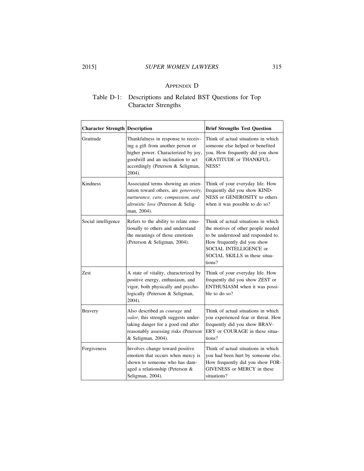# APPENDIX D

# Table D-1: Descriptions and Related BST Questions for Top Character Strengths

| <b>Character Strength Description</b> |                                                                                                                                                                                                      | <b>Brief Strengths Test Question</b>                                                                                                                                                                                |
|---------------------------------------|------------------------------------------------------------------------------------------------------------------------------------------------------------------------------------------------------|---------------------------------------------------------------------------------------------------------------------------------------------------------------------------------------------------------------------|
| Gratitude                             | Thankfulness in response to receiv-<br>ing a gift from another person or<br>higher power. Characterized by joy,<br>goodwill and an inclination to act<br>accordingly (Peterson & Seligman,<br>2004). | Think of actual situations in which<br>someone else helped or benefited<br>you. How frequently did you show<br><b>GRATITUDE or THANKFUL-</b><br>NESS?                                                               |
| Kindness                              | Associated terms showing an orien-<br>tation toward others, are generosity,<br>nurturance, care, compassion, and<br>altruistic love (Peterson & Selig-<br>man, 2004).                                | Think of your everyday life. How<br>frequently did you show KIND-<br>NESS or GENEROSITY to others<br>when it was possible to do so?                                                                                 |
| Social intelligence                   | Refers to the ability to relate emo-<br>tionally to others and understand<br>the meanings of those emotions<br>(Peterson & Seligman, 2004).                                                          | Think of actual situations in which<br>the motives of other people needed<br>to be understood and responded to.<br>How frequently did you show<br>SOCIAL INTELLIGENCE or<br>SOCIAL SKILLS in these situa-<br>tions? |
| <b>Zest</b>                           | A state of vitality, characterized by<br>positive energy, enthusiasm, and<br>vigor, both physically and psycho-<br>logically (Peterson & Seligman,<br>2004).                                         | Think of your everyday life. How<br>frequently did you show ZEST or<br>ENTHUSIASM when it was possi-<br>ble to do so?                                                                                               |
| <b>Bravery</b>                        | Also described as <i>courage</i> and<br>valor, this strength suggests under-<br>taking danger for a good end after<br>reasonably assessing risks (Peterson<br>& Seligman, 2004).                     | Think of actual situations in which<br>you experienced fear or threat. How<br>frequently did you show BRAV-<br>ERY or COURAGE in these situa-<br>tions?                                                             |
| Forgiveness                           | Involves change toward positive<br>emotion that occurs when mercy is<br>shown to someone who has dam-<br>aged a relationship (Peterson &<br>Seligman, 2004).                                         | Think of actual situations in which<br>you had been hurt by someone else.<br>How frequently did you show FOR-<br>GIVENESS or MERCY in these<br>situations?                                                          |